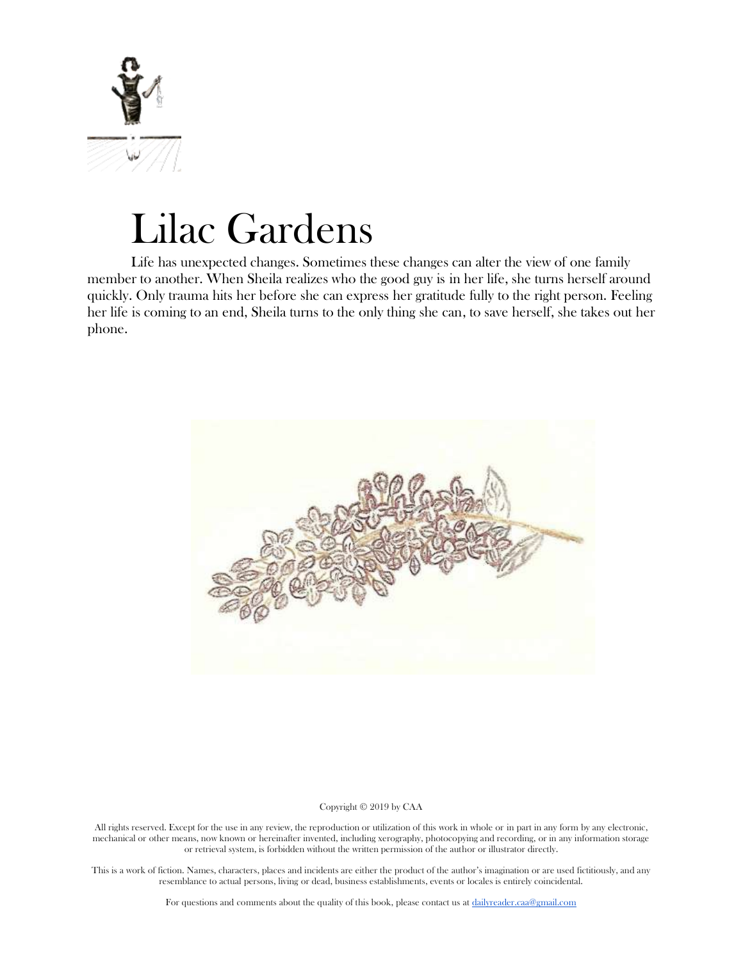

# Lilac Gardens

Life has unexpected changes. Sometimes these changes can alter the view of one family member to another. When Sheila realizes who the good guy is in her life, she turns herself around quickly. Only trauma hits her before she can express her gratitude fully to the right person. Feeling her life is coming to an end, Sheila turns to the only thing she can, to save herself, she takes out her phone.



Copyright © 2019 by CAA

All rights reserved. Except for the use in any review, the reproduction or utilization of this work in whole or in part in any form by any electronic, mechanical or other means, now known or hereinafter invented, including xerography, photocopying and recording, or in any information storage or retrieval system, is forbidden without the written permission of the author or illustrator directly.

This is a work of fiction. Names, characters, places and incidents are either the product of the author's imagination or are used fictitiously, and any resemblance to actual persons, living or dead, business establishments, events or locales is entirely coincidental.

For questions and comments about the quality of this book, please contact us at [dailyreader.caa@gmail.com](mailto:dailyreader.caa@gmail.com)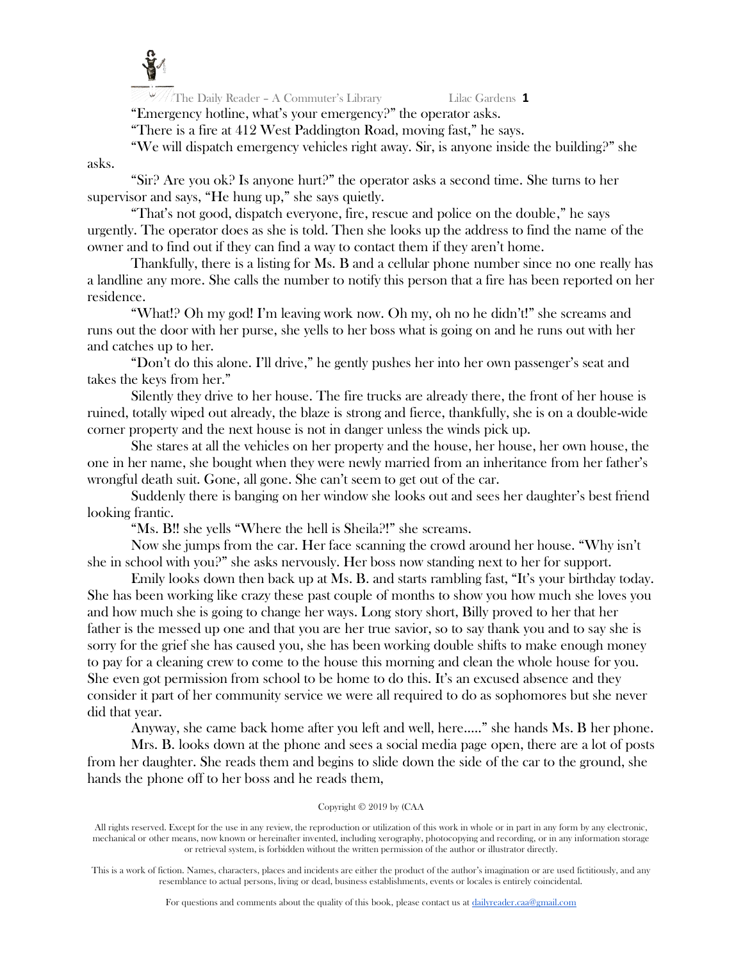

 $\frac{1}{2}$  The Daily Reader - A Commuter's Library Lilac Gardens 1 "Emergency hotline, what's your emergency?" the operator asks.

"There is a fire at 412 West Paddington Road, moving fast," he says.

"We will dispatch emergency vehicles right away. Sir, is anyone inside the building?" she

asks.

"Sir? Are you ok? Is anyone hurt?" the operator asks a second time. She turns to her supervisor and says, "He hung up," she says quietly.

"That's not good, dispatch everyone, fire, rescue and police on the double," he says urgently. The operator does as she is told. Then she looks up the address to find the name of the owner and to find out if they can find a way to contact them if they aren't home.

Thankfully, there is a listing for Ms. B and a cellular phone number since no one really has a landline any more. She calls the number to notify this person that a fire has been reported on her residence.

"What!? Oh my god! I'm leaving work now. Oh my, oh no he didn't!" she screams and runs out the door with her purse, she yells to her boss what is going on and he runs out with her and catches up to her.

"Don't do this alone. I'll drive," he gently pushes her into her own passenger's seat and takes the keys from her."

Silently they drive to her house. The fire trucks are already there, the front of her house is ruined, totally wiped out already, the blaze is strong and fierce, thankfully, she is on a double-wide corner property and the next house is not in danger unless the winds pick up.

She stares at all the vehicles on her property and the house, her house, her own house, the one in her name, she bought when they were newly married from an inheritance from her father's wrongful death suit. Gone, all gone. She can't seem to get out of the car.

Suddenly there is banging on her window she looks out and sees her daughter's best friend looking frantic.

"Ms. B!! she yells "Where the hell is Sheila?!" she screams.

Now she jumps from the car. Her face scanning the crowd around her house. "Why isn't she in school with you?" she asks nervously. Her boss now standing next to her for support.

Emily looks down then back up at Ms. B. and starts rambling fast, "It's your birthday today. She has been working like crazy these past couple of months to show you how much she loves you and how much she is going to change her ways. Long story short, Billy proved to her that her father is the messed up one and that you are her true savior, so to say thank you and to say she is sorry for the grief she has caused you, she has been working double shifts to make enough money to pay for a cleaning crew to come to the house this morning and clean the whole house for you. She even got permission from school to be home to do this. It's an excused absence and they consider it part of her community service we were all required to do as sophomores but she never did that year.

Anyway, she came back home after you left and well, here….." she hands Ms. B her phone.

Mrs. B. looks down at the phone and sees a social media page open, there are a lot of posts from her daughter. She reads them and begins to slide down the side of the car to the ground, she hands the phone off to her boss and he reads them,

# Copyright © 2019 by (CAA

All rights reserved. Except for the use in any review, the reproduction or utilization of this work in whole or in part in any form by any electronic, mechanical or other means, now known or hereinafter invented, including xerography, photocopying and recording, or in any information storage or retrieval system, is forbidden without the written permission of the author or illustrator directly.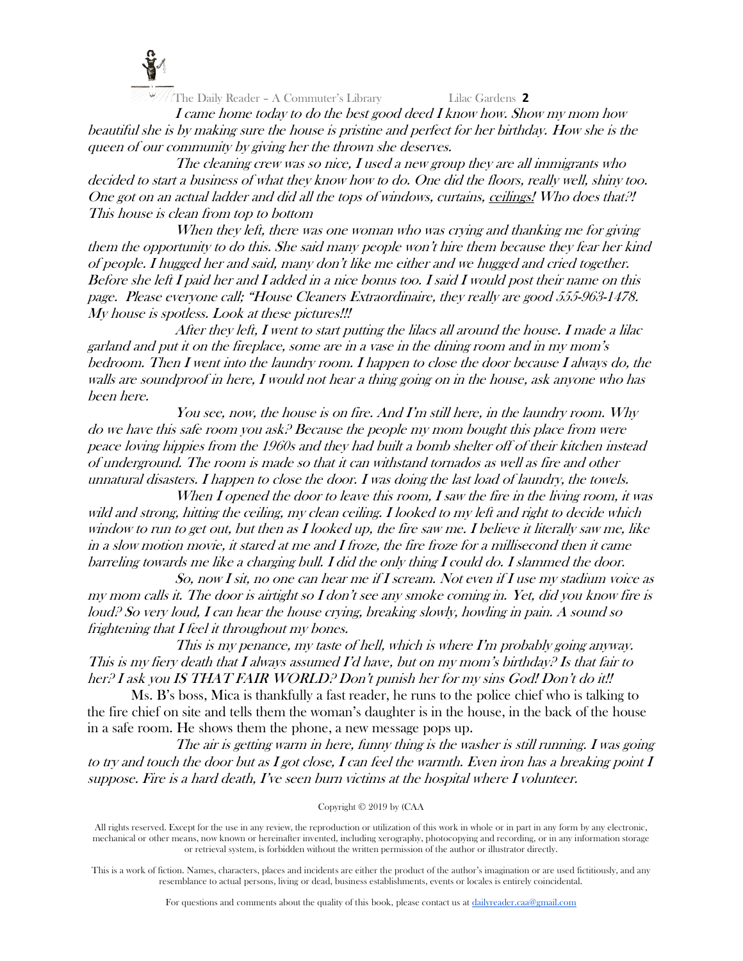

I came home today to do the best good deed I know how. Show my mom how beautiful she is by making sure the house is pristine and perfect for her birthday. How she is the queen of our community by giving her the thrown she deserves.

The cleaning crew was so nice, I used a new group they are all immigrants who decided to start a business of what they know how to do. One did the floors, really well, shiny too. One got on an actual ladder and did all the tops of windows, curtains, ceilings! Who does that?! This house is clean from top to bottom

When they left, there was one woman who was crying and thanking me for giving them the opportunity to do this. She said many people won't hire them because they fear her kind of people. I hugged her and said, many don't like me either and we hugged and cried together. Before she left I paid her and I added in a nice bonus too. I said I would post their name on this page. Please everyone call; "House Cleaners Extraordinaire, they really are good 555-963-1478. My house is spotless. Look at these pictures!!!

After they left, I went to start putting the lilacs all around the house. I made a lilac garland and put it on the fireplace, some are in a vase in the dining room and in my mom's bedroom. Then I went into the laundry room. I happen to close the door because I always do, the walls are soundproof in here, I would not hear a thing going on in the house, ask anyone who has been here.

You see, now, the house is on fire. And I'm still here, in the laundry room. Why do we have this safe room you ask? Because the people my mom bought this place from were peace loving hippies from the 1960s and they had built a bomb shelter off of their kitchen instead of underground. The room is made so that it can withstand tornados as well as fire and other unnatural disasters. I happen to close the door. I was doing the last load of laundry, the towels.

When I opened the door to leave this room, I saw the fire in the living room, it was wild and strong, hitting the ceiling, my clean ceiling. I looked to my left and right to decide which window to run to get out, but then as I looked up, the fire saw me. I believe it literally saw me, like in a slow motion movie, it stared at me and I froze, the fire froze for a millisecond then it came barreling towards me like a charging bull. I did the only thing I could do. I slammed the door.

So, now I sit, no one can hear me if I scream. Not even if I use my stadium voice as my mom calls it. The door is airtight so I don't see any smoke coming in. Yet, did you know fire is loud? So very loud, I can hear the house crying, breaking slowly, howling in pain. A sound so frightening that I feel it throughout my bones.

This is my penance, my taste of hell, which is where I'm probably going anyway. This is my fiery death that I always assumed I'd have, but on my mom's birthday? Is that fair to her? I ask you IS THAT FAIR WORLD? Don't punish her for my sins God! Don't do it!!

Ms. B's boss, Mica is thankfully a fast reader, he runs to the police chief who is talking to the fire chief on site and tells them the woman's daughter is in the house, in the back of the house in a safe room. He shows them the phone, a new message pops up.

The air is getting warm in here, funny thing is the washer is still running. I was going to try and touch the door but as I got close, I can feel the warmth. Even iron has a breaking point I suppose. Fire is a hard death, I've seen burn victims at the hospital where I volunteer.

Copyright © 2019 by (CAA

All rights reserved. Except for the use in any review, the reproduction or utilization of this work in whole or in part in any form by any electronic, mechanical or other means, now known or hereinafter invented, including xerography, photocopying and recording, or in any information storage or retrieval system, is forbidden without the written permission of the author or illustrator directly.

This is a work of fiction. Names, characters, places and incidents are either the product of the author's imagination or are used fictitiously, and any resemblance to actual persons, living or dead, business establishments, events or locales is entirely coincidental.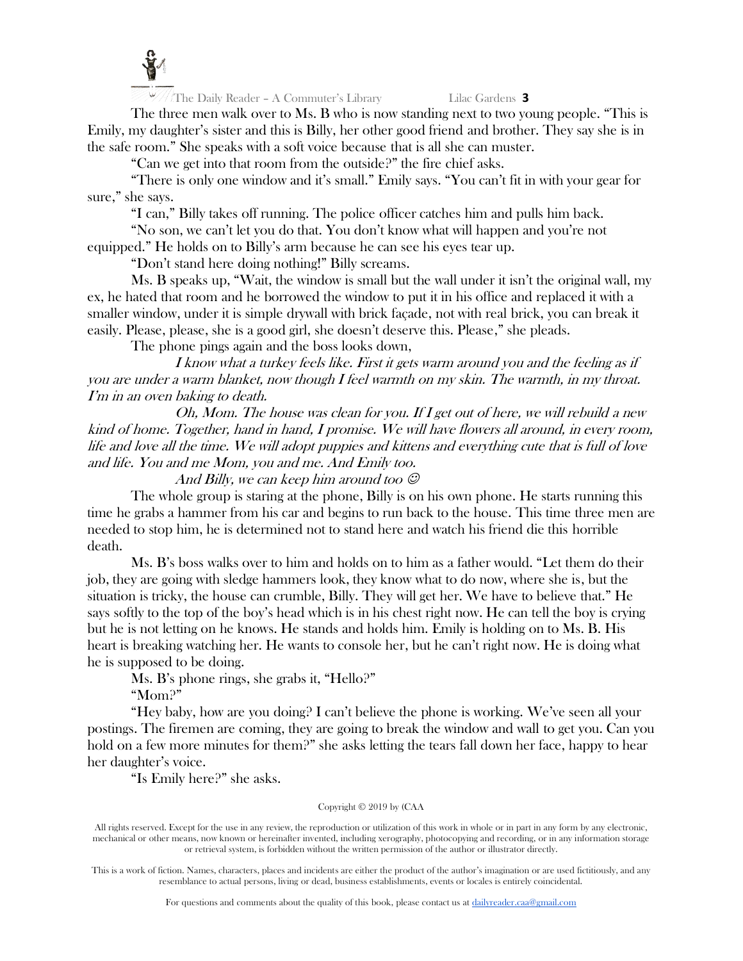

The three men walk over to Ms. B who is now standing next to two young people. "This is Emily, my daughter's sister and this is Billy, her other good friend and brother. They say she is in the safe room." She speaks with a soft voice because that is all she can muster.

"Can we get into that room from the outside?" the fire chief asks.

"There is only one window and it's small." Emily says. "You can't fit in with your gear for sure," she says.

"I can," Billy takes off running. The police officer catches him and pulls him back.

"No son, we can't let you do that. You don't know what will happen and you're not equipped." He holds on to Billy's arm because he can see his eyes tear up.

"Don't stand here doing nothing!" Billy screams.

Ms. B speaks up, "Wait, the window is small but the wall under it isn't the original wall, my ex, he hated that room and he borrowed the window to put it in his office and replaced it with a smaller window, under it is simple drywall with brick façade, not with real brick, you can break it easily. Please, please, she is a good girl, she doesn't deserve this. Please," she pleads.

The phone pings again and the boss looks down,

I know what a turkey feels like. First it gets warm around you and the feeling as if you are under a warm blanket, now though I feel warmth on my skin. The warmth, in my throat. I'm in an oven baking to death.

Oh, Mom. The house was clean for you. If I get out of here, we will rebuild a new kind of home. Together, hand in hand, I promise. We will have flowers all around, in every room, life and love all the time. We will adopt puppies and kittens and everything cute that is full of love and life. You and me Mom, you and me. And Emily too.

And Billy, we can keep him around too  $\mathcal O$ 

The whole group is staring at the phone, Billy is on his own phone. He starts running this time he grabs a hammer from his car and begins to run back to the house. This time three men are needed to stop him, he is determined not to stand here and watch his friend die this horrible death.

Ms. B's boss walks over to him and holds on to him as a father would. "Let them do their job, they are going with sledge hammers look, they know what to do now, where she is, but the situation is tricky, the house can crumble, Billy. They will get her. We have to believe that." He says softly to the top of the boy's head which is in his chest right now. He can tell the boy is crying but he is not letting on he knows. He stands and holds him. Emily is holding on to Ms. B. His heart is breaking watching her. He wants to console her, but he can't right now. He is doing what he is supposed to be doing.

Ms. B's phone rings, she grabs it, "Hello?"

"Mom?"

"Hey baby, how are you doing? I can't believe the phone is working. We've seen all your postings. The firemen are coming, they are going to break the window and wall to get you. Can you hold on a few more minutes for them?" she asks letting the tears fall down her face, happy to hear her daughter's voice.

"Is Emily here?" she asks.

# Copyright © 2019 by (CAA

All rights reserved. Except for the use in any review, the reproduction or utilization of this work in whole or in part in any form by any electronic, mechanical or other means, now known or hereinafter invented, including xerography, photocopying and recording, or in any information storage or retrieval system, is forbidden without the written permission of the author or illustrator directly.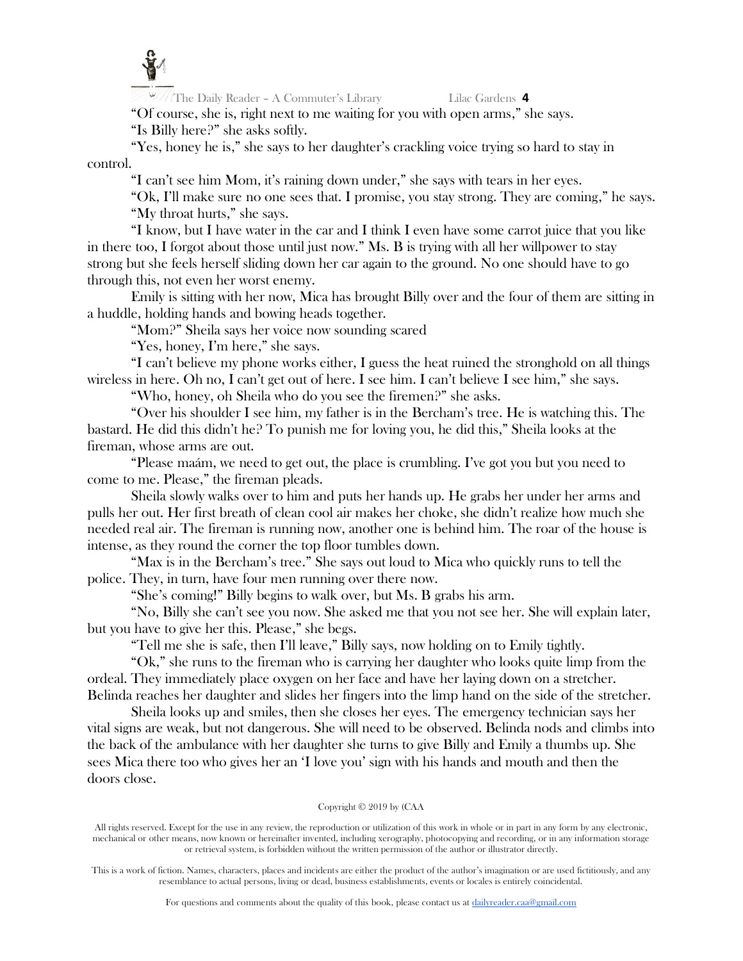

 $\frac{1}{2}$  The Daily Reader – A Commuter's Library Lilac Gardens 4

"Of course, she is, right next to me waiting for you with open arms," she says. "Is Billy here?" she asks softly.

"Yes, honey he is," she says to her daughter's crackling voice trying so hard to stay in control.

"I can't see him Mom, it's raining down under," she says with tears in her eyes.

"Ok, I'll make sure no one sees that. I promise, you stay strong. They are coming," he says. "My throat hurts," she says.

"I know, but I have water in the car and I think I even have some carrot juice that you like in there too, I forgot about those until just now." Ms. B is trying with all her willpower to stay strong but she feels herself sliding down her car again to the ground. No one should have to go through this, not even her worst enemy.

Emily is sitting with her now, Mica has brought Billy over and the four of them are sitting in a huddle, holding hands and bowing heads together.

"Mom?" Sheila says her voice now sounding scared

"Yes, honey, I'm here," she says.

"I can't believe my phone works either, I guess the heat ruined the stronghold on all things wireless in here. Oh no, I can't get out of here. I see him. I can't believe I see him," she says.

"Who, honey, oh Sheila who do you see the firemen?" she asks.

"Over his shoulder I see him, my father is in the Bercham's tree. He is watching this. The bastard. He did this didn't he? To punish me for loving you, he did this," Sheila looks at the fireman, whose arms are out.

"Please maám, we need to get out, the place is crumbling. I've got you but you need to come to me. Please," the fireman pleads.

Sheila slowly walks over to him and puts her hands up. He grabs her under her arms and pulls her out. Her first breath of clean cool air makes her choke, she didn't realize how much she needed real air. The fireman is running now, another one is behind him. The roar of the house is intense, as they round the corner the top floor tumbles down.

"Max is in the Bercham's tree." She says out loud to Mica who quickly runs to tell the police. They, in turn, have four men running over there now.

"She's coming!" Billy begins to walk over, but Ms. B grabs his arm.

"No, Billy she can't see you now. She asked me that you not see her. She will explain later, but you have to give her this. Please," she begs.

"Tell me she is safe, then I'll leave," Billy says, now holding on to Emily tightly.

"Ok," she runs to the fireman who is carrying her daughter who looks quite limp from the ordeal. They immediately place oxygen on her face and have her laying down on a stretcher. Belinda reaches her daughter and slides her fingers into the limp hand on the side of the stretcher.

Sheila looks up and smiles, then she closes her eyes. The emergency technician says her vital signs are weak, but not dangerous. She will need to be observed. Belinda nods and climbs into the back of the ambulance with her daughter she turns to give Billy and Emily a thumbs up. She sees Mica there too who gives her an 'I love you' sign with his hands and mouth and then the doors close.

# Copyright © 2019 by (CAA

All rights reserved. Except for the use in any review, the reproduction or utilization of this work in whole or in part in any form by any electronic, mechanical or other means, now known or hereinafter invented, including xerography, photocopying and recording, or in any information storage or retrieval system, is forbidden without the written permission of the author or illustrator directly.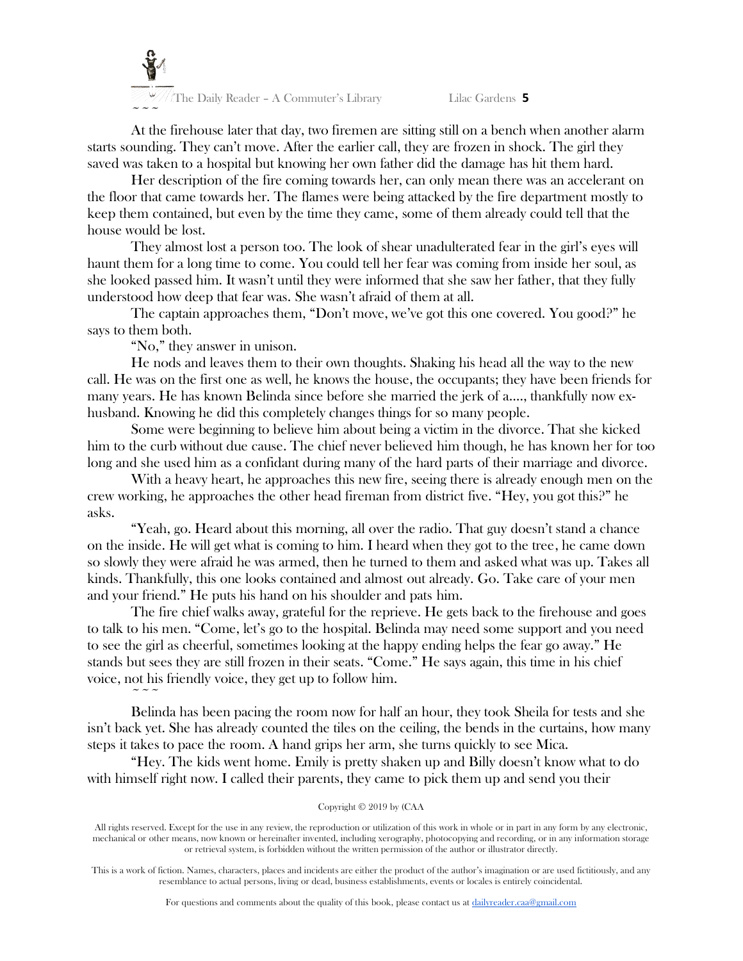

At the firehouse later that day, two firemen are sitting still on a bench when another alarm starts sounding. They can't move. After the earlier call, they are frozen in shock. The girl they saved was taken to a hospital but knowing her own father did the damage has hit them hard.

Her description of the fire coming towards her, can only mean there was an accelerant on the floor that came towards her. The flames were being attacked by the fire department mostly to keep them contained, but even by the time they came, some of them already could tell that the house would be lost.

They almost lost a person too. The look of shear unadulterated fear in the girl's eyes will haunt them for a long time to come. You could tell her fear was coming from inside her soul, as she looked passed him. It wasn't until they were informed that she saw her father, that they fully understood how deep that fear was. She wasn't afraid of them at all.

The captain approaches them, "Don't move, we've got this one covered. You good?" he says to them both.

"No," they answer in unison.

 $\sim$   $\sim$   $\sim$ 

He nods and leaves them to their own thoughts. Shaking his head all the way to the new call. He was on the first one as well, he knows the house, the occupants; they have been friends for many years. He has known Belinda since before she married the jerk of a…., thankfully now exhusband. Knowing he did this completely changes things for so many people.

Some were beginning to believe him about being a victim in the divorce. That she kicked him to the curb without due cause. The chief never believed him though, he has known her for too long and she used him as a confidant during many of the hard parts of their marriage and divorce.

With a heavy heart, he approaches this new fire, seeing there is already enough men on the crew working, he approaches the other head fireman from district five. "Hey, you got this?" he asks.

"Yeah, go. Heard about this morning, all over the radio. That guy doesn't stand a chance on the inside. He will get what is coming to him. I heard when they got to the tree, he came down so slowly they were afraid he was armed, then he turned to them and asked what was up. Takes all kinds. Thankfully, this one looks contained and almost out already. Go. Take care of your men and your friend." He puts his hand on his shoulder and pats him.

The fire chief walks away, grateful for the reprieve. He gets back to the firehouse and goes to talk to his men. "Come, let's go to the hospital. Belinda may need some support and you need to see the girl as cheerful, sometimes looking at the happy ending helps the fear go away." He stands but sees they are still frozen in their seats. "Come." He says again, this time in his chief voice, not his friendly voice, they get up to follow him.

Belinda has been pacing the room now for half an hour, they took Sheila for tests and she isn't back yet. She has already counted the tiles on the ceiling, the bends in the curtains, how many steps it takes to pace the room. A hand grips her arm, she turns quickly to see Mica.

"Hey. The kids went home. Emily is pretty shaken up and Billy doesn't know what to do with himself right now. I called their parents, they came to pick them up and send you their

### Copyright © 2019 by (CAA

All rights reserved. Except for the use in any review, the reproduction or utilization of this work in whole or in part in any form by any electronic, mechanical or other means, now known or hereinafter invented, including xerography, photocopying and recording, or in any information storage or retrieval system, is forbidden without the written permission of the author or illustrator directly.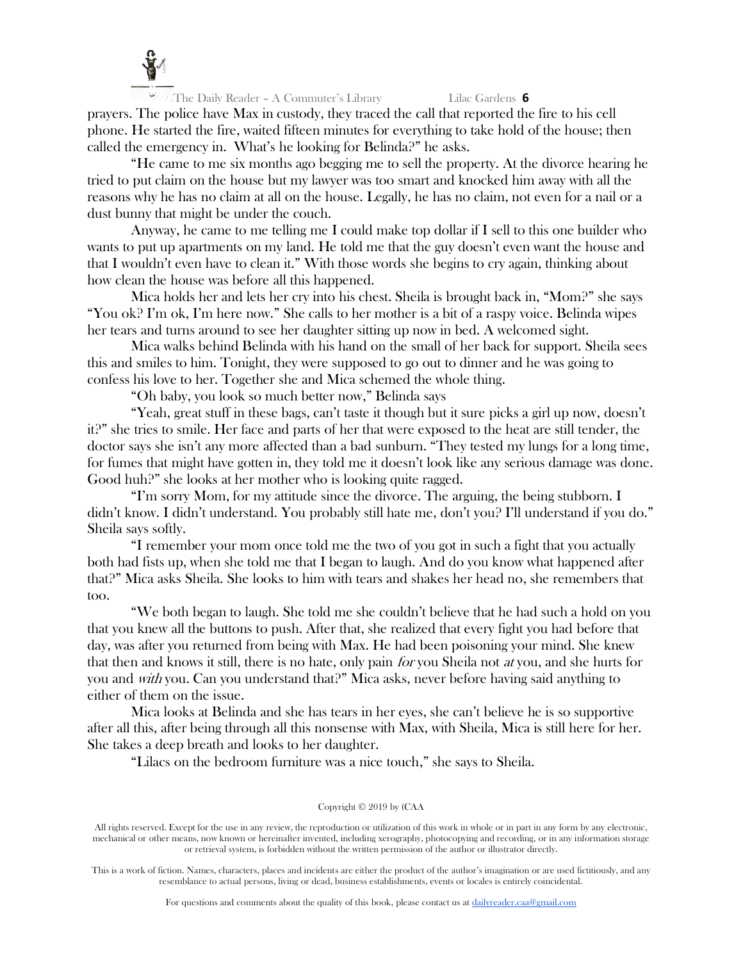

prayers. The police have Max in custody, they traced the call that reported the fire to his cell phone. He started the fire, waited fifteen minutes for everything to take hold of the house; then called the emergency in. What's he looking for Belinda?" he asks.

"He came to me six months ago begging me to sell the property. At the divorce hearing he tried to put claim on the house but my lawyer was too smart and knocked him away with all the reasons why he has no claim at all on the house. Legally, he has no claim, not even for a nail or a dust bunny that might be under the couch.

Anyway, he came to me telling me I could make top dollar if I sell to this one builder who wants to put up apartments on my land. He told me that the guy doesn't even want the house and that I wouldn't even have to clean it." With those words she begins to cry again, thinking about how clean the house was before all this happened.

Mica holds her and lets her cry into his chest. Sheila is brought back in, "Mom?" she says "You ok? I'm ok, I'm here now." She calls to her mother is a bit of a raspy voice. Belinda wipes her tears and turns around to see her daughter sitting up now in bed. A welcomed sight.

Mica walks behind Belinda with his hand on the small of her back for support. Sheila sees this and smiles to him. Tonight, they were supposed to go out to dinner and he was going to confess his love to her. Together she and Mica schemed the whole thing.

"Oh baby, you look so much better now," Belinda says

"Yeah, great stuff in these bags, can't taste it though but it sure picks a girl up now, doesn't it?" she tries to smile. Her face and parts of her that were exposed to the heat are still tender, the doctor says she isn't any more affected than a bad sunburn. "They tested my lungs for a long time, for fumes that might have gotten in, they told me it doesn't look like any serious damage was done. Good huh?" she looks at her mother who is looking quite ragged.

"I'm sorry Mom, for my attitude since the divorce. The arguing, the being stubborn. I didn't know. I didn't understand. You probably still hate me, don't you? I'll understand if you do." Sheila says softly.

"I remember your mom once told me the two of you got in such a fight that you actually both had fists up, when she told me that I began to laugh. And do you know what happened after that?" Mica asks Sheila. She looks to him with tears and shakes her head no, she remembers that too.

"We both began to laugh. She told me she couldn't believe that he had such a hold on you that you knew all the buttons to push. After that, she realized that every fight you had before that day, was after you returned from being with Max. He had been poisoning your mind. She knew that then and knows it still, there is no hate, only pain *for* you Sheila not *at* you, and she hurts for you and with you. Can you understand that?" Mica asks, never before having said anything to either of them on the issue.

Mica looks at Belinda and she has tears in her eyes, she can't believe he is so supportive after all this, after being through all this nonsense with Max, with Sheila, Mica is still here for her. She takes a deep breath and looks to her daughter.

"Lilacs on the bedroom furniture was a nice touch," she says to Sheila.

#### Copyright © 2019 by (CAA

All rights reserved. Except for the use in any review, the reproduction or utilization of this work in whole or in part in any form by any electronic, mechanical or other means, now known or hereinafter invented, including xerography, photocopying and recording, or in any information storage or retrieval system, is forbidden without the written permission of the author or illustrator directly.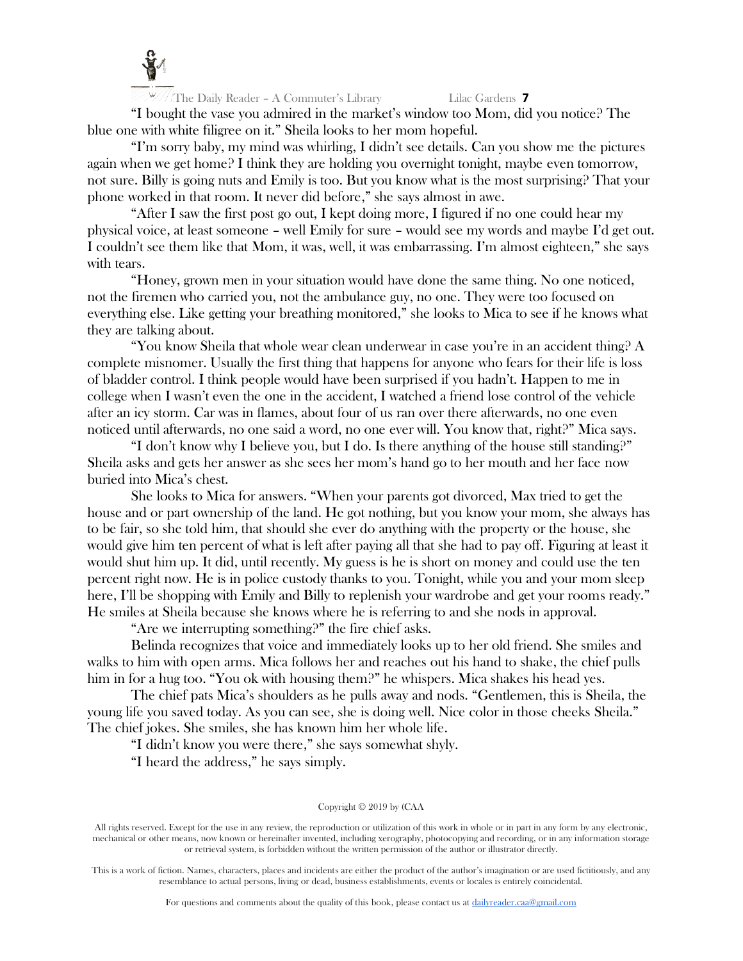

 $\frac{1}{2}$  The Daily Reader - A Commuter's Library Lilac Gardens **7** 

"I bought the vase you admired in the market's window too Mom, did you notice? The blue one with white filigree on it." Sheila looks to her mom hopeful.

"I'm sorry baby, my mind was whirling, I didn't see details. Can you show me the pictures again when we get home? I think they are holding you overnight tonight, maybe even tomorrow, not sure. Billy is going nuts and Emily is too. But you know what is the most surprising? That your phone worked in that room. It never did before," she says almost in awe.

"After I saw the first post go out, I kept doing more, I figured if no one could hear my physical voice, at least someone – well Emily for sure – would see my words and maybe I'd get out. I couldn't see them like that Mom, it was, well, it was embarrassing. I'm almost eighteen," she says with tears.

"Honey, grown men in your situation would have done the same thing. No one noticed, not the firemen who carried you, not the ambulance guy, no one. They were too focused on everything else. Like getting your breathing monitored," she looks to Mica to see if he knows what they are talking about.

"You know Sheila that whole wear clean underwear in case you're in an accident thing? A complete misnomer. Usually the first thing that happens for anyone who fears for their life is loss of bladder control. I think people would have been surprised if you hadn't. Happen to me in college when I wasn't even the one in the accident, I watched a friend lose control of the vehicle after an icy storm. Car was in flames, about four of us ran over there afterwards, no one even noticed until afterwards, no one said a word, no one ever will. You know that, right?" Mica says.

"I don't know why I believe you, but I do. Is there anything of the house still standing?" Sheila asks and gets her answer as she sees her mom's hand go to her mouth and her face now buried into Mica's chest.

She looks to Mica for answers. "When your parents got divorced, Max tried to get the house and or part ownership of the land. He got nothing, but you know your mom, she always has to be fair, so she told him, that should she ever do anything with the property or the house, she would give him ten percent of what is left after paying all that she had to pay off. Figuring at least it would shut him up. It did, until recently. My guess is he is short on money and could use the ten percent right now. He is in police custody thanks to you. Tonight, while you and your mom sleep here, I'll be shopping with Emily and Billy to replenish your wardrobe and get your rooms ready." He smiles at Sheila because she knows where he is referring to and she nods in approval.

"Are we interrupting something?" the fire chief asks.

Belinda recognizes that voice and immediately looks up to her old friend. She smiles and walks to him with open arms. Mica follows her and reaches out his hand to shake, the chief pulls him in for a hug too. "You ok with housing them?" he whispers. Mica shakes his head yes.

The chief pats Mica's shoulders as he pulls away and nods. "Gentlemen, this is Sheila, the young life you saved today. As you can see, she is doing well. Nice color in those cheeks Sheila." The chief jokes. She smiles, she has known him her whole life.

"I didn't know you were there," she says somewhat shyly.

"I heard the address," he says simply.

#### Copyright © 2019 by (CAA

All rights reserved. Except for the use in any review, the reproduction or utilization of this work in whole or in part in any form by any electronic, mechanical or other means, now known or hereinafter invented, including xerography, photocopying and recording, or in any information storage or retrieval system, is forbidden without the written permission of the author or illustrator directly.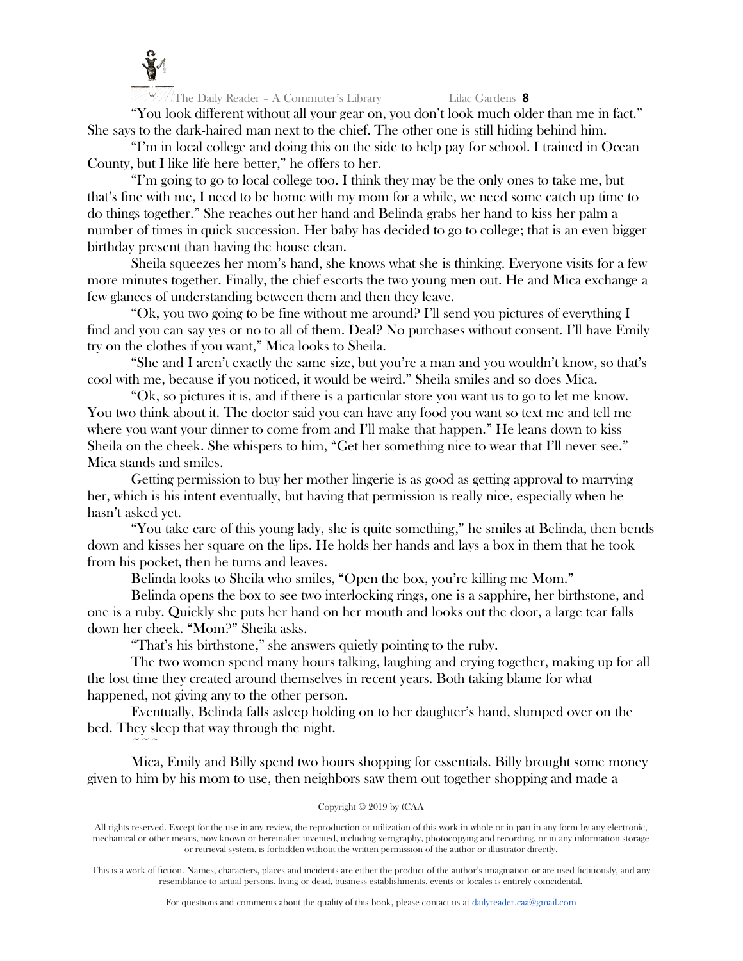

 $\sim$   $\sim$   $\sim$ 

The Daily Reader – A Commuter's Library Lilac Gardens **8**

"You look different without all your gear on, you don't look much older than me in fact." She says to the dark-haired man next to the chief. The other one is still hiding behind him.

"I'm in local college and doing this on the side to help pay for school. I trained in Ocean County, but I like life here better," he offers to her.

"I'm going to go to local college too. I think they may be the only ones to take me, but that's fine with me, I need to be home with my mom for a while, we need some catch up time to do things together." She reaches out her hand and Belinda grabs her hand to kiss her palm a number of times in quick succession. Her baby has decided to go to college; that is an even bigger birthday present than having the house clean.

Sheila squeezes her mom's hand, she knows what she is thinking. Everyone visits for a few more minutes together. Finally, the chief escorts the two young men out. He and Mica exchange a few glances of understanding between them and then they leave.

"Ok, you two going to be fine without me around? I'll send you pictures of everything I find and you can say yes or no to all of them. Deal? No purchases without consent. I'll have Emily try on the clothes if you want," Mica looks to Sheila.

"She and I aren't exactly the same size, but you're a man and you wouldn't know, so that's cool with me, because if you noticed, it would be weird." Sheila smiles and so does Mica.

"Ok, so pictures it is, and if there is a particular store you want us to go to let me know. You two think about it. The doctor said you can have any food you want so text me and tell me where you want your dinner to come from and I'll make that happen." He leans down to kiss Sheila on the cheek. She whispers to him, "Get her something nice to wear that I'll never see." Mica stands and smiles.

Getting permission to buy her mother lingerie is as good as getting approval to marrying her, which is his intent eventually, but having that permission is really nice, especially when he hasn't asked yet.

"You take care of this young lady, she is quite something," he smiles at Belinda, then bends down and kisses her square on the lips. He holds her hands and lays a box in them that he took from his pocket, then he turns and leaves.

Belinda looks to Sheila who smiles, "Open the box, you're killing me Mom."

Belinda opens the box to see two interlocking rings, one is a sapphire, her birthstone, and one is a ruby. Quickly she puts her hand on her mouth and looks out the door, a large tear falls down her cheek. "Mom?" Sheila asks.

"That's his birthstone," she answers quietly pointing to the ruby.

The two women spend many hours talking, laughing and crying together, making up for all the lost time they created around themselves in recent years. Both taking blame for what happened, not giving any to the other person.

Eventually, Belinda falls asleep holding on to her daughter's hand, slumped over on the bed. They sleep that way through the night.

Mica, Emily and Billy spend two hours shopping for essentials. Billy brought some money given to him by his mom to use, then neighbors saw them out together shopping and made a

# Copyright © 2019 by (CAA

All rights reserved. Except for the use in any review, the reproduction or utilization of this work in whole or in part in any form by any electronic, mechanical or other means, now known or hereinafter invented, including xerography, photocopying and recording, or in any information storage or retrieval system, is forbidden without the written permission of the author or illustrator directly.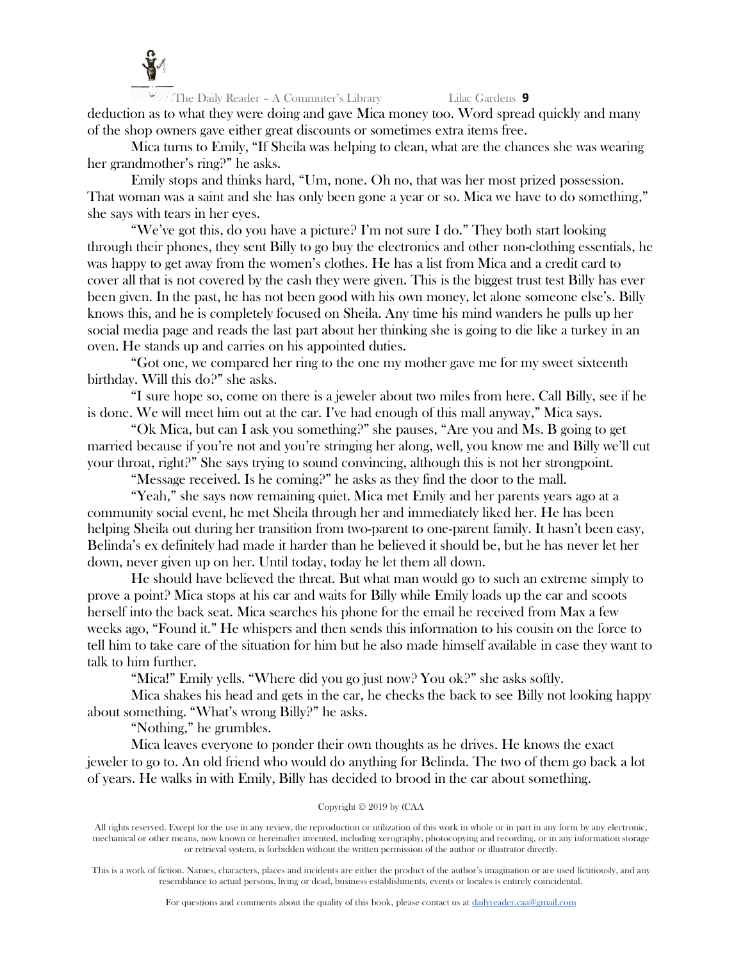

The Daily Reader – A Commuter's Library Lilac Gardens **9** deduction as to what they were doing and gave Mica money too. Word spread quickly and many of the shop owners gave either great discounts or sometimes extra items free.

Mica turns to Emily, "If Sheila was helping to clean, what are the chances she was wearing her grandmother's ring?" he asks.

Emily stops and thinks hard, "Um, none. Oh no, that was her most prized possession. That woman was a saint and she has only been gone a year or so. Mica we have to do something," she says with tears in her eyes.

"We've got this, do you have a picture? I'm not sure I do." They both start looking through their phones, they sent Billy to go buy the electronics and other non-clothing essentials, he was happy to get away from the women's clothes. He has a list from Mica and a credit card to cover all that is not covered by the cash they were given. This is the biggest trust test Billy has ever been given. In the past, he has not been good with his own money, let alone someone else's. Billy knows this, and he is completely focused on Sheila. Any time his mind wanders he pulls up her social media page and reads the last part about her thinking she is going to die like a turkey in an oven. He stands up and carries on his appointed duties.

"Got one, we compared her ring to the one my mother gave me for my sweet sixteenth birthday. Will this do?" she asks.

"I sure hope so, come on there is a jeweler about two miles from here. Call Billy, see if he is done. We will meet him out at the car. I've had enough of this mall anyway," Mica says.

"Ok Mica, but can I ask you something?" she pauses, "Are you and Ms. B going to get married because if you're not and you're stringing her along, well, you know me and Billy we'll cut your throat, right?" She says trying to sound convincing, although this is not her strongpoint.

"Message received. Is he coming?" he asks as they find the door to the mall.

"Yeah," she says now remaining quiet. Mica met Emily and her parents years ago at a community social event, he met Sheila through her and immediately liked her. He has been helping Sheila out during her transition from two-parent to one-parent family. It hasn't been easy, Belinda's ex definitely had made it harder than he believed it should be, but he has never let her down, never given up on her. Until today, today he let them all down.

He should have believed the threat. But what man would go to such an extreme simply to prove a point? Mica stops at his car and waits for Billy while Emily loads up the car and scoots herself into the back seat. Mica searches his phone for the email he received from Max a few weeks ago, "Found it." He whispers and then sends this information to his cousin on the force to tell him to take care of the situation for him but he also made himself available in case they want to talk to him further.

"Mica!" Emily yells. "Where did you go just now? You ok?" she asks softly.

Mica shakes his head and gets in the car, he checks the back to see Billy not looking happy about something. "What's wrong Billy?" he asks.

"Nothing," he grumbles.

Mica leaves everyone to ponder their own thoughts as he drives. He knows the exact jeweler to go to. An old friend who would do anything for Belinda. The two of them go back a lot of years. He walks in with Emily, Billy has decided to brood in the car about something.

### Copyright © 2019 by (CAA

All rights reserved. Except for the use in any review, the reproduction or utilization of this work in whole or in part in any form by any electronic, mechanical or other means, now known or hereinafter invented, including xerography, photocopying and recording, or in any information storage or retrieval system, is forbidden without the written permission of the author or illustrator directly.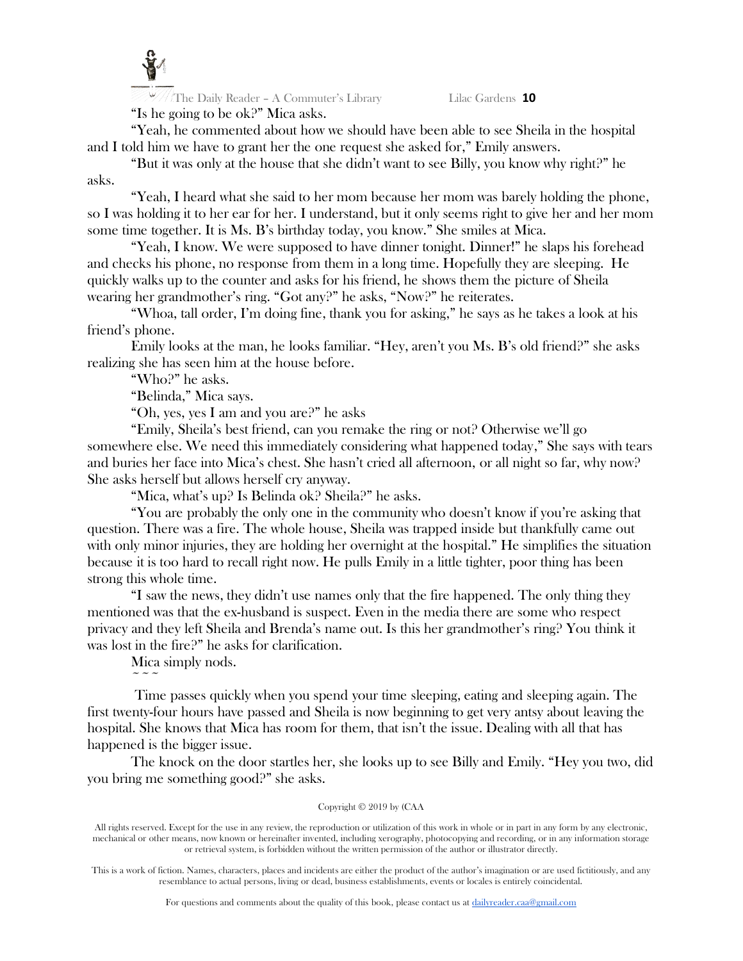

The Daily Reader – A Commuter's Library Lilac Gardens **10** "Is he going to be ok?" Mica asks.

"Yeah, he commented about how we should have been able to see Sheila in the hospital and I told him we have to grant her the one request she asked for," Emily answers.

"But it was only at the house that she didn't want to see Billy, you know why right?" he asks.

"Yeah, I heard what she said to her mom because her mom was barely holding the phone, so I was holding it to her ear for her. I understand, but it only seems right to give her and her mom some time together. It is Ms. B's birthday today, you know." She smiles at Mica.

"Yeah, I know. We were supposed to have dinner tonight. Dinner!" he slaps his forehead and checks his phone, no response from them in a long time. Hopefully they are sleeping. He quickly walks up to the counter and asks for his friend, he shows them the picture of Sheila wearing her grandmother's ring. "Got any?" he asks, "Now?" he reiterates.

"Whoa, tall order, I'm doing fine, thank you for asking," he says as he takes a look at his friend's phone.

Emily looks at the man, he looks familiar. "Hey, aren't you Ms. B's old friend?" she asks realizing she has seen him at the house before.

"Who?" he asks.

"Belinda," Mica says.

"Oh, yes, yes I am and you are?" he asks

"Emily, Sheila's best friend, can you remake the ring or not? Otherwise we'll go somewhere else. We need this immediately considering what happened today," She says with tears and buries her face into Mica's chest. She hasn't cried all afternoon, or all night so far, why now? She asks herself but allows herself cry anyway.

"Mica, what's up? Is Belinda ok? Sheila?" he asks.

"You are probably the only one in the community who doesn't know if you're asking that question. There was a fire. The whole house, Sheila was trapped inside but thankfully came out with only minor injuries, they are holding her overnight at the hospital." He simplifies the situation because it is too hard to recall right now. He pulls Emily in a little tighter, poor thing has been strong this whole time.

"I saw the news, they didn't use names only that the fire happened. The only thing they mentioned was that the ex-husband is suspect. Even in the media there are some who respect privacy and they left Sheila and Brenda's name out. Is this her grandmother's ring? You think it was lost in the fire?" he asks for clarification.

Mica simply nods.  $\sim$   $\sim$   $\sim$ 

Time passes quickly when you spend your time sleeping, eating and sleeping again. The first twenty-four hours have passed and Sheila is now beginning to get very antsy about leaving the hospital. She knows that Mica has room for them, that isn't the issue. Dealing with all that has happened is the bigger issue.

The knock on the door startles her, she looks up to see Billy and Emily. "Hey you two, did you bring me something good?" she asks.

# Copyright © 2019 by (CAA

All rights reserved. Except for the use in any review, the reproduction or utilization of this work in whole or in part in any form by any electronic, mechanical or other means, now known or hereinafter invented, including xerography, photocopying and recording, or in any information storage or retrieval system, is forbidden without the written permission of the author or illustrator directly.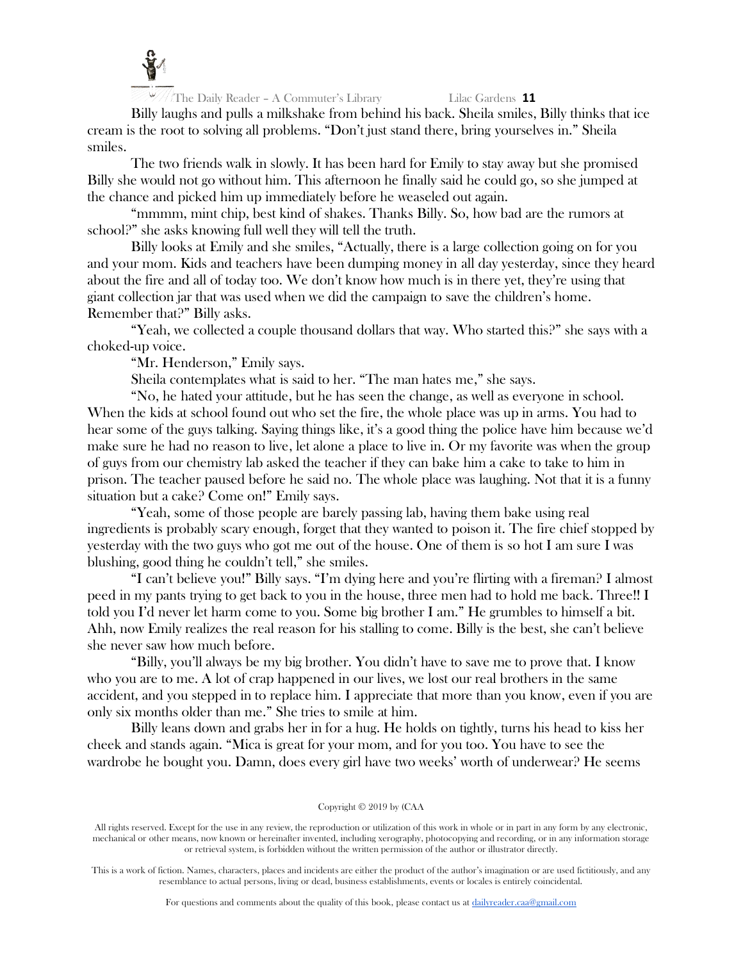

Billy laughs and pulls a milkshake from behind his back. Sheila smiles, Billy thinks that ice cream is the root to solving all problems. "Don't just stand there, bring yourselves in." Sheila smiles.

The two friends walk in slowly. It has been hard for Emily to stay away but she promised Billy she would not go without him. This afternoon he finally said he could go, so she jumped at the chance and picked him up immediately before he weaseled out again.

"mmmm, mint chip, best kind of shakes. Thanks Billy. So, how bad are the rumors at school?" she asks knowing full well they will tell the truth.

Billy looks at Emily and she smiles, "Actually, there is a large collection going on for you and your mom. Kids and teachers have been dumping money in all day yesterday, since they heard about the fire and all of today too. We don't know how much is in there yet, they're using that giant collection jar that was used when we did the campaign to save the children's home. Remember that?" Billy asks.

"Yeah, we collected a couple thousand dollars that way. Who started this?" she says with a choked-up voice.

"Mr. Henderson," Emily says.

Sheila contemplates what is said to her. "The man hates me," she says.

"No, he hated your attitude, but he has seen the change, as well as everyone in school. When the kids at school found out who set the fire, the whole place was up in arms. You had to hear some of the guys talking. Saying things like, it's a good thing the police have him because we'd make sure he had no reason to live, let alone a place to live in. Or my favorite was when the group of guys from our chemistry lab asked the teacher if they can bake him a cake to take to him in prison. The teacher paused before he said no. The whole place was laughing. Not that it is a funny situation but a cake? Come on!" Emily says.

"Yeah, some of those people are barely passing lab, having them bake using real ingredients is probably scary enough, forget that they wanted to poison it. The fire chief stopped by yesterday with the two guys who got me out of the house. One of them is so hot I am sure I was blushing, good thing he couldn't tell," she smiles.

"I can't believe you!" Billy says. "I'm dying here and you're flirting with a fireman? I almost peed in my pants trying to get back to you in the house, three men had to hold me back. Three!! I told you I'd never let harm come to you. Some big brother I am." He grumbles to himself a bit. Ahh, now Emily realizes the real reason for his stalling to come. Billy is the best, she can't believe she never saw how much before.

"Billy, you'll always be my big brother. You didn't have to save me to prove that. I know who you are to me. A lot of crap happened in our lives, we lost our real brothers in the same accident, and you stepped in to replace him. I appreciate that more than you know, even if you are only six months older than me." She tries to smile at him.

Billy leans down and grabs her in for a hug. He holds on tightly, turns his head to kiss her cheek and stands again. "Mica is great for your mom, and for you too. You have to see the wardrobe he bought you. Damn, does every girl have two weeks' worth of underwear? He seems

#### Copyright © 2019 by (CAA

All rights reserved. Except for the use in any review, the reproduction or utilization of this work in whole or in part in any form by any electronic, mechanical or other means, now known or hereinafter invented, including xerography, photocopying and recording, or in any information storage or retrieval system, is forbidden without the written permission of the author or illustrator directly.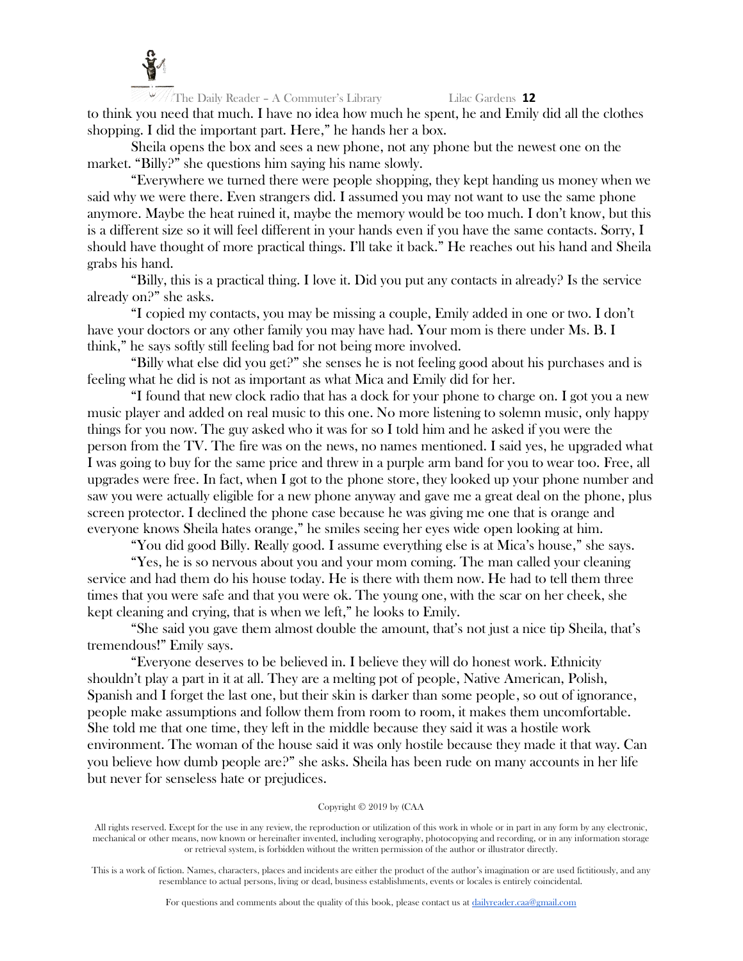

The Daily Reader – A Commuter's Library Lilac Gardens **12** to think you need that much. I have no idea how much he spent, he and Emily did all the clothes shopping. I did the important part. Here," he hands her a box.

Sheila opens the box and sees a new phone, not any phone but the newest one on the market. "Billy?" she questions him saying his name slowly.

"Everywhere we turned there were people shopping, they kept handing us money when we said why we were there. Even strangers did. I assumed you may not want to use the same phone anymore. Maybe the heat ruined it, maybe the memory would be too much. I don't know, but this is a different size so it will feel different in your hands even if you have the same contacts. Sorry, I should have thought of more practical things. I'll take it back." He reaches out his hand and Sheila grabs his hand.

"Billy, this is a practical thing. I love it. Did you put any contacts in already? Is the service already on?" she asks.

"I copied my contacts, you may be missing a couple, Emily added in one or two. I don't have your doctors or any other family you may have had. Your mom is there under Ms. B. I think," he says softly still feeling bad for not being more involved.

"Billy what else did you get?" she senses he is not feeling good about his purchases and is feeling what he did is not as important as what Mica and Emily did for her.

"I found that new clock radio that has a dock for your phone to charge on. I got you a new music player and added on real music to this one. No more listening to solemn music, only happy things for you now. The guy asked who it was for so I told him and he asked if you were the person from the TV. The fire was on the news, no names mentioned. I said yes, he upgraded what I was going to buy for the same price and threw in a purple arm band for you to wear too. Free, all upgrades were free. In fact, when I got to the phone store, they looked up your phone number and saw you were actually eligible for a new phone anyway and gave me a great deal on the phone, plus screen protector. I declined the phone case because he was giving me one that is orange and everyone knows Sheila hates orange," he smiles seeing her eyes wide open looking at him.

"You did good Billy. Really good. I assume everything else is at Mica's house," she says.

"Yes, he is so nervous about you and your mom coming. The man called your cleaning service and had them do his house today. He is there with them now. He had to tell them three times that you were safe and that you were ok. The young one, with the scar on her cheek, she kept cleaning and crying, that is when we left," he looks to Emily.

"She said you gave them almost double the amount, that's not just a nice tip Sheila, that's tremendous!" Emily says.

"Everyone deserves to be believed in. I believe they will do honest work. Ethnicity shouldn't play a part in it at all. They are a melting pot of people, Native American, Polish, Spanish and I forget the last one, but their skin is darker than some people, so out of ignorance, people make assumptions and follow them from room to room, it makes them uncomfortable. She told me that one time, they left in the middle because they said it was a hostile work environment. The woman of the house said it was only hostile because they made it that way. Can you believe how dumb people are?" she asks. Sheila has been rude on many accounts in her life but never for senseless hate or prejudices.

#### Copyright © 2019 by (CAA

All rights reserved. Except for the use in any review, the reproduction or utilization of this work in whole or in part in any form by any electronic, mechanical or other means, now known or hereinafter invented, including xerography, photocopying and recording, or in any information storage or retrieval system, is forbidden without the written permission of the author or illustrator directly.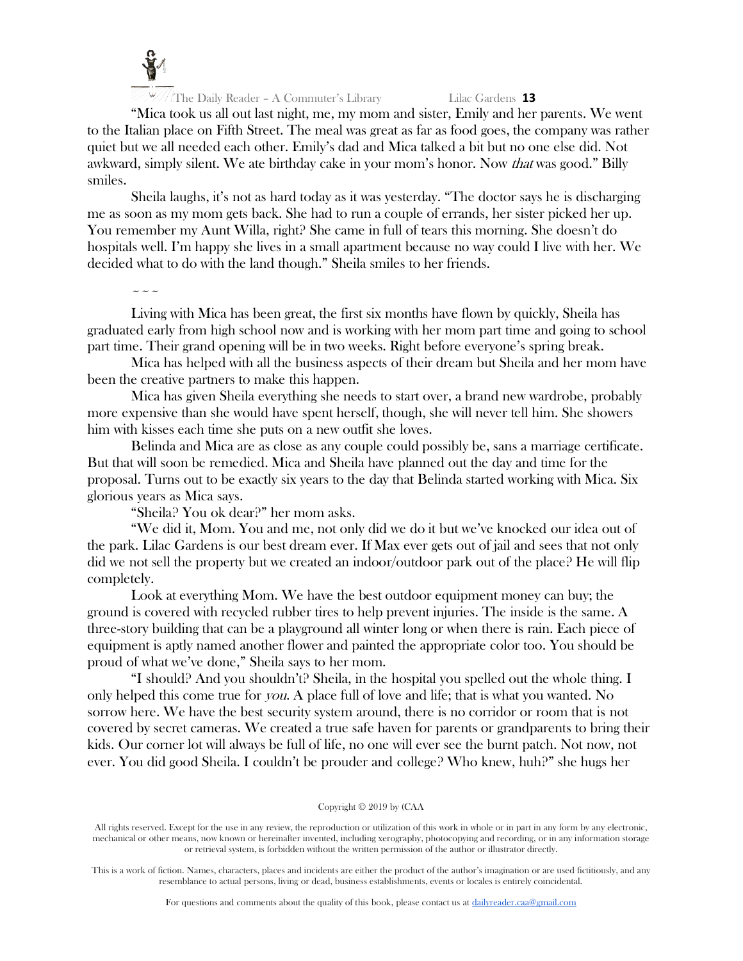

"Mica took us all out last night, me, my mom and sister, Emily and her parents. We went to the Italian place on Fifth Street. The meal was great as far as food goes, the company was rather quiet but we all needed each other. Emily's dad and Mica talked a bit but no one else did. Not awkward, simply silent. We ate birthday cake in your mom's honor. Now that was good." Billy smiles.

Sheila laughs, it's not as hard today as it was yesterday. "The doctor says he is discharging me as soon as my mom gets back. She had to run a couple of errands, her sister picked her up. You remember my Aunt Willa, right? She came in full of tears this morning. She doesn't do hospitals well. I'm happy she lives in a small apartment because no way could I live with her. We decided what to do with the land though." Sheila smiles to her friends.

 $\sim$   $\sim$   $\sim$ 

Living with Mica has been great, the first six months have flown by quickly, Sheila has graduated early from high school now and is working with her mom part time and going to school part time. Their grand opening will be in two weeks. Right before everyone's spring break.

Mica has helped with all the business aspects of their dream but Sheila and her mom have been the creative partners to make this happen.

Mica has given Sheila everything she needs to start over, a brand new wardrobe, probably more expensive than she would have spent herself, though, she will never tell him. She showers him with kisses each time she puts on a new outfit she loves.

Belinda and Mica are as close as any couple could possibly be, sans a marriage certificate. But that will soon be remedied. Mica and Sheila have planned out the day and time for the proposal. Turns out to be exactly six years to the day that Belinda started working with Mica. Six glorious years as Mica says.

"Sheila? You ok dear?" her mom asks.

"We did it, Mom. You and me, not only did we do it but we've knocked our idea out of the park. Lilac Gardens is our best dream ever. If Max ever gets out of jail and sees that not only did we not sell the property but we created an indoor/outdoor park out of the place? He will flip completely.

Look at everything Mom. We have the best outdoor equipment money can buy; the ground is covered with recycled rubber tires to help prevent injuries. The inside is the same. A three-story building that can be a playground all winter long or when there is rain. Each piece of equipment is aptly named another flower and painted the appropriate color too. You should be proud of what we've done," Sheila says to her mom.

"I should? And you shouldn't? Sheila, in the hospital you spelled out the whole thing. I only helped this come true for you. A place full of love and life; that is what you wanted. No sorrow here. We have the best security system around, there is no corridor or room that is not covered by secret cameras. We created a true safe haven for parents or grandparents to bring their kids. Our corner lot will always be full of life, no one will ever see the burnt patch. Not now, not ever. You did good Sheila. I couldn't be prouder and college? Who knew, huh?" she hugs her

#### Copyright © 2019 by (CAA

All rights reserved. Except for the use in any review, the reproduction or utilization of this work in whole or in part in any form by any electronic, mechanical or other means, now known or hereinafter invented, including xerography, photocopying and recording, or in any information storage or retrieval system, is forbidden without the written permission of the author or illustrator directly.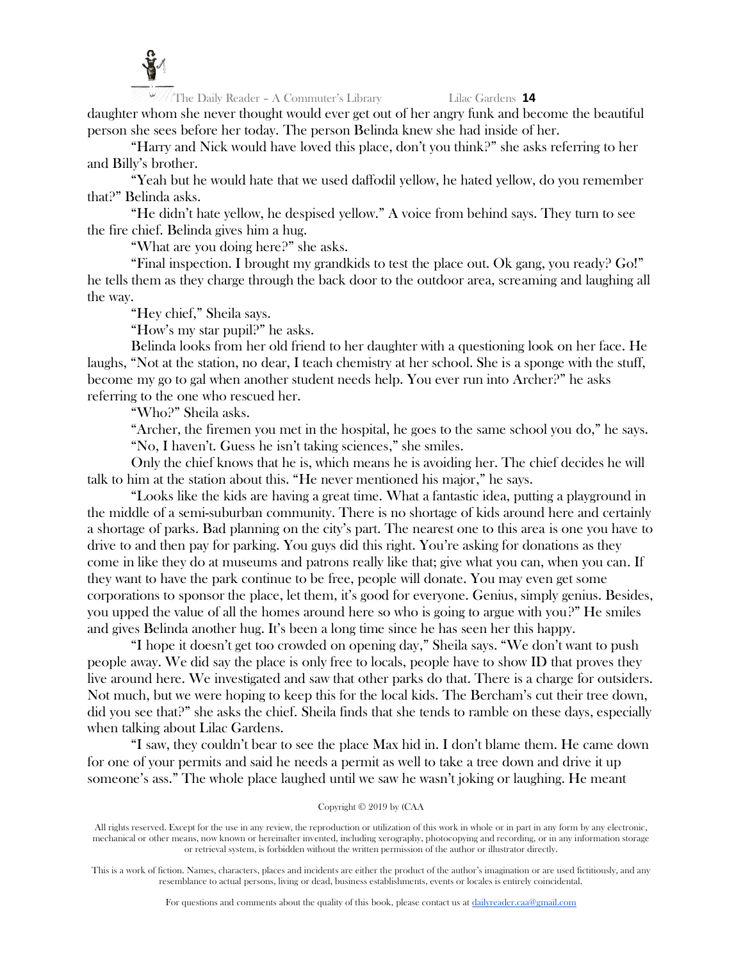

The Daily Reader – A Commuter's Library Lilac Gardens **14** daughter whom she never thought would ever get out of her angry funk and become the beautiful person she sees before her today. The person Belinda knew she had inside of her.

"Harry and Nick would have loved this place, don't you think?" she asks referring to her and Billy's brother.

"Yeah but he would hate that we used daffodil yellow, he hated yellow, do you remember that?" Belinda asks.

"He didn't hate yellow, he despised yellow." A voice from behind says. They turn to see the fire chief. Belinda gives him a hug.

"What are you doing here?" she asks.

"Final inspection. I brought my grandkids to test the place out. Ok gang, you ready? Go!" he tells them as they charge through the back door to the outdoor area, screaming and laughing all the way.

"Hey chief," Sheila says.

"How's my star pupil?" he asks.

Belinda looks from her old friend to her daughter with a questioning look on her face. He laughs, "Not at the station, no dear, I teach chemistry at her school. She is a sponge with the stuff, become my go to gal when another student needs help. You ever run into Archer?" he asks referring to the one who rescued her.

"Who?" Sheila asks.

"Archer, the firemen you met in the hospital, he goes to the same school you do," he says. "No, I haven't. Guess he isn't taking sciences," she smiles.

Only the chief knows that he is, which means he is avoiding her. The chief decides he will talk to him at the station about this. "He never mentioned his major," he says.

"Looks like the kids are having a great time. What a fantastic idea, putting a playground in the middle of a semi-suburban community. There is no shortage of kids around here and certainly a shortage of parks. Bad planning on the city's part. The nearest one to this area is one you have to drive to and then pay for parking. You guys did this right. You're asking for donations as they come in like they do at museums and patrons really like that; give what you can, when you can. If they want to have the park continue to be free, people will donate. You may even get some corporations to sponsor the place, let them, it's good for everyone. Genius, simply genius. Besides, you upped the value of all the homes around here so who is going to argue with you?" He smiles and gives Belinda another hug. It's been a long time since he has seen her this happy.

"I hope it doesn't get too crowded on opening day," Sheila says. "We don't want to push people away. We did say the place is only free to locals, people have to show ID that proves they live around here. We investigated and saw that other parks do that. There is a charge for outsiders. Not much, but we were hoping to keep this for the local kids. The Bercham's cut their tree down, did you see that?" she asks the chief. Sheila finds that she tends to ramble on these days, especially when talking about Lilac Gardens.

"I saw, they couldn't bear to see the place Max hid in. I don't blame them. He came down for one of your permits and said he needs a permit as well to take a tree down and drive it up someone's ass." The whole place laughed until we saw he wasn't joking or laughing. He meant

### Copyright © 2019 by (CAA

All rights reserved. Except for the use in any review, the reproduction or utilization of this work in whole or in part in any form by any electronic, mechanical or other means, now known or hereinafter invented, including xerography, photocopying and recording, or in any information storage or retrieval system, is forbidden without the written permission of the author or illustrator directly.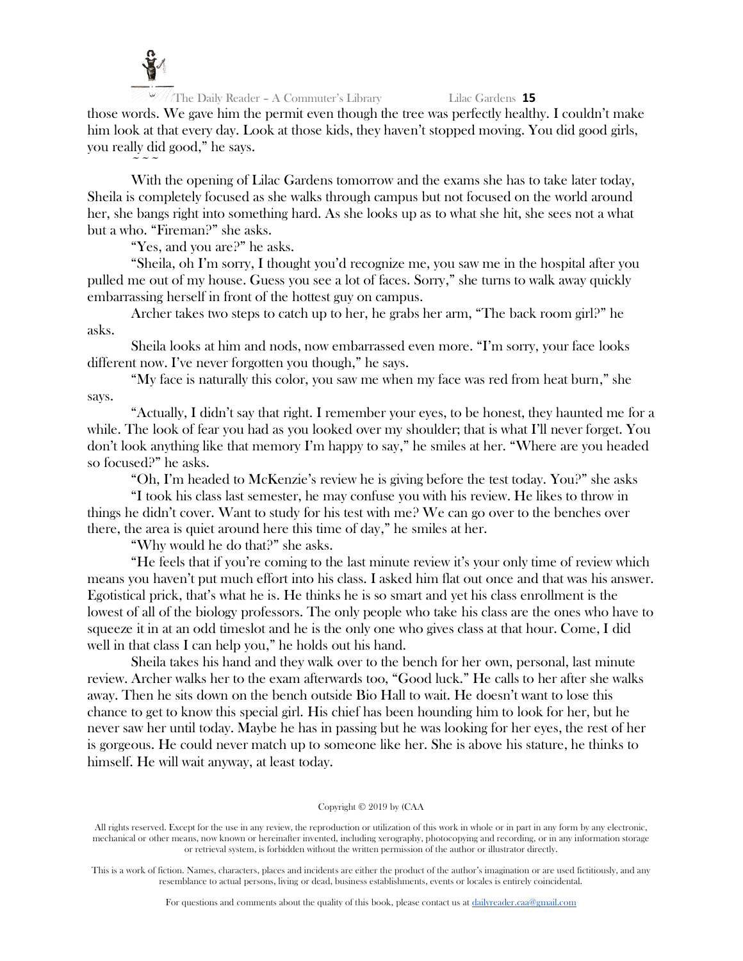

 $\sim$   $\sim$   $\sim$ 

The Daily Reader – A Commuter's Library Lilac Gardens **15**

those words. We gave him the permit even though the tree was perfectly healthy. I couldn't make him look at that every day. Look at those kids, they haven't stopped moving. You did good girls, you really did good," he says.

With the opening of Lilac Gardens tomorrow and the exams she has to take later today, Sheila is completely focused as she walks through campus but not focused on the world around her, she bangs right into something hard. As she looks up as to what she hit, she sees not a what but a who. "Fireman?" she asks.

"Yes, and you are?" he asks.

"Sheila, oh I'm sorry, I thought you'd recognize me, you saw me in the hospital after you pulled me out of my house. Guess you see a lot of faces. Sorry," she turns to walk away quickly embarrassing herself in front of the hottest guy on campus.

Archer takes two steps to catch up to her, he grabs her arm, "The back room girl?" he asks.

Sheila looks at him and nods, now embarrassed even more. "I'm sorry, your face looks different now. I've never forgotten you though," he says.

"My face is naturally this color, you saw me when my face was red from heat burn," she says.

"Actually, I didn't say that right. I remember your eyes, to be honest, they haunted me for a while. The look of fear you had as you looked over my shoulder; that is what I'll never forget. You don't look anything like that memory I'm happy to say," he smiles at her. "Where are you headed so focused?" he asks.

"Oh, I'm headed to McKenzie's review he is giving before the test today. You?" she asks

"I took his class last semester, he may confuse you with his review. He likes to throw in things he didn't cover. Want to study for his test with me? We can go over to the benches over there, the area is quiet around here this time of day," he smiles at her.

"Why would he do that?" she asks.

"He feels that if you're coming to the last minute review it's your only time of review which means you haven't put much effort into his class. I asked him flat out once and that was his answer. Egotistical prick, that's what he is. He thinks he is so smart and yet his class enrollment is the lowest of all of the biology professors. The only people who take his class are the ones who have to squeeze it in at an odd timeslot and he is the only one who gives class at that hour. Come, I did well in that class I can help you," he holds out his hand.

Sheila takes his hand and they walk over to the bench for her own, personal, last minute review. Archer walks her to the exam afterwards too, "Good luck." He calls to her after she walks away. Then he sits down on the bench outside Bio Hall to wait. He doesn't want to lose this chance to get to know this special girl. His chief has been hounding him to look for her, but he never saw her until today. Maybe he has in passing but he was looking for her eyes, the rest of her is gorgeous. He could never match up to someone like her. She is above his stature, he thinks to himself. He will wait anyway, at least today.

# Copyright © 2019 by (CAA

All rights reserved. Except for the use in any review, the reproduction or utilization of this work in whole or in part in any form by any electronic, mechanical or other means, now known or hereinafter invented, including xerography, photocopying and recording, or in any information storage or retrieval system, is forbidden without the written permission of the author or illustrator directly.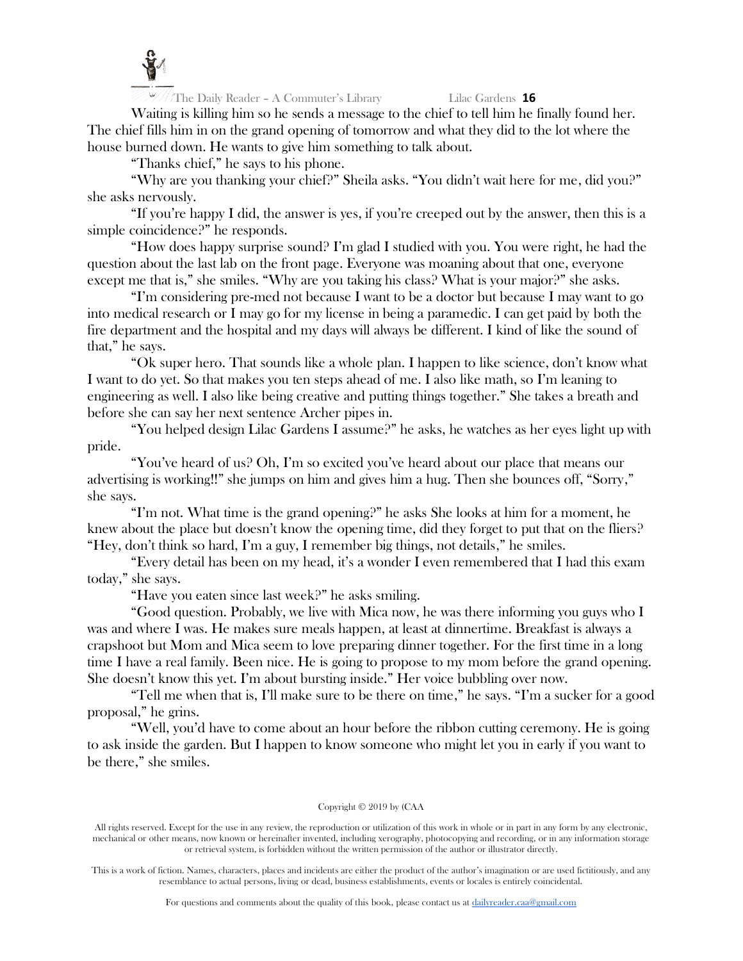

Waiting is killing him so he sends a message to the chief to tell him he finally found her. The chief fills him in on the grand opening of tomorrow and what they did to the lot where the house burned down. He wants to give him something to talk about.

"Thanks chief," he says to his phone.

"Why are you thanking your chief?" Sheila asks. "You didn't wait here for me, did you?" she asks nervously.

"If you're happy I did, the answer is yes, if you're creeped out by the answer, then this is a simple coincidence?" he responds.

"How does happy surprise sound? I'm glad I studied with you. You were right, he had the question about the last lab on the front page. Everyone was moaning about that one, everyone except me that is," she smiles. "Why are you taking his class? What is your major?" she asks.

"I'm considering pre-med not because I want to be a doctor but because I may want to go into medical research or I may go for my license in being a paramedic. I can get paid by both the fire department and the hospital and my days will always be different. I kind of like the sound of that," he says.

"Ok super hero. That sounds like a whole plan. I happen to like science, don't know what I want to do yet. So that makes you ten steps ahead of me. I also like math, so I'm leaning to engineering as well. I also like being creative and putting things together." She takes a breath and before she can say her next sentence Archer pipes in.

"You helped design Lilac Gardens I assume?" he asks, he watches as her eyes light up with pride.

"You've heard of us? Oh, I'm so excited you've heard about our place that means our advertising is working!!" she jumps on him and gives him a hug. Then she bounces off, "Sorry," she says.

"I'm not. What time is the grand opening?" he asks She looks at him for a moment, he knew about the place but doesn't know the opening time, did they forget to put that on the fliers? "Hey, don't think so hard, I'm a guy, I remember big things, not details," he smiles.

"Every detail has been on my head, it's a wonder I even remembered that I had this exam today," she says.

"Have you eaten since last week?" he asks smiling.

"Good question. Probably, we live with Mica now, he was there informing you guys who I was and where I was. He makes sure meals happen, at least at dinnertime. Breakfast is always a crapshoot but Mom and Mica seem to love preparing dinner together. For the first time in a long time I have a real family. Been nice. He is going to propose to my mom before the grand opening. She doesn't know this yet. I'm about bursting inside." Her voice bubbling over now.

"Tell me when that is, I'll make sure to be there on time," he says. "I'm a sucker for a good proposal," he grins.

"Well, you'd have to come about an hour before the ribbon cutting ceremony. He is going to ask inside the garden. But I happen to know someone who might let you in early if you want to be there," she smiles.

### Copyright © 2019 by (CAA

All rights reserved. Except for the use in any review, the reproduction or utilization of this work in whole or in part in any form by any electronic, mechanical or other means, now known or hereinafter invented, including xerography, photocopying and recording, or in any information storage or retrieval system, is forbidden without the written permission of the author or illustrator directly.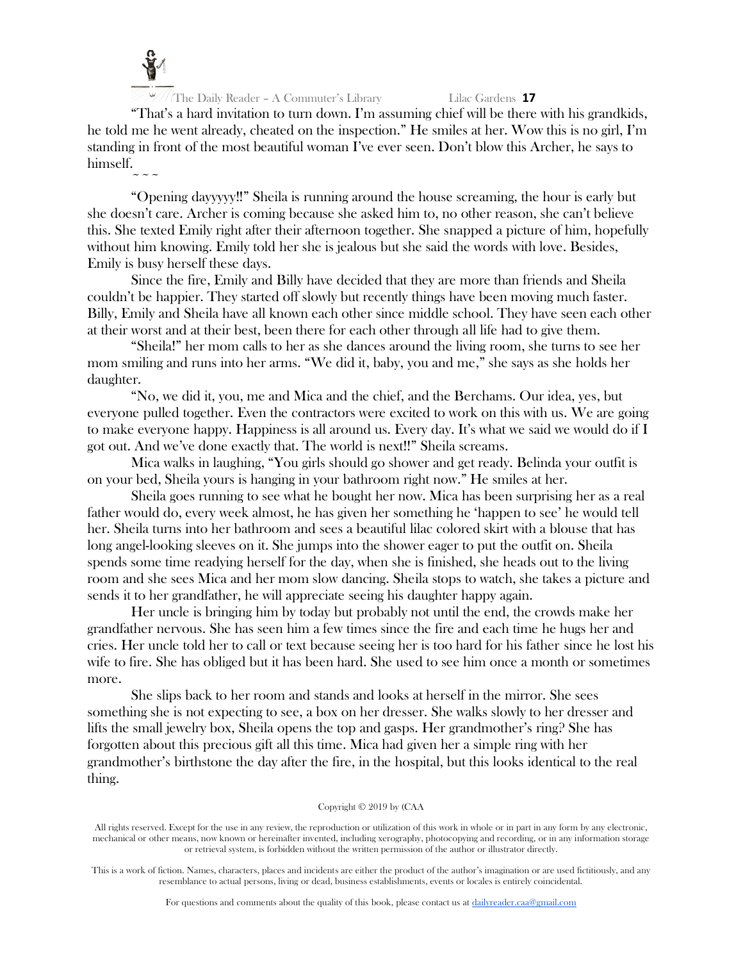

"That's a hard invitation to turn down. I'm assuming chief will be there with his grandkids, he told me he went already, cheated on the inspection." He smiles at her. Wow this is no girl, I'm standing in front of the most beautiful woman I've ever seen. Don't blow this Archer, he says to himself.

 $\sim$   $\sim$   $\sim$ "Opening dayyyyy!!" Sheila is running around the house screaming, the hour is early but she doesn't care. Archer is coming because she asked him to, no other reason, she can't believe this. She texted Emily right after their afternoon together. She snapped a picture of him, hopefully without him knowing. Emily told her she is jealous but she said the words with love. Besides, Emily is busy herself these days.

Since the fire, Emily and Billy have decided that they are more than friends and Sheila couldn't be happier. They started off slowly but recently things have been moving much faster. Billy, Emily and Sheila have all known each other since middle school. They have seen each other at their worst and at their best, been there for each other through all life had to give them.

"Sheila!" her mom calls to her as she dances around the living room, she turns to see her mom smiling and runs into her arms. "We did it, baby, you and me," she says as she holds her daughter.

"No, we did it, you, me and Mica and the chief, and the Berchams. Our idea, yes, but everyone pulled together. Even the contractors were excited to work on this with us. We are going to make everyone happy. Happiness is all around us. Every day. It's what we said we would do if I got out. And we've done exactly that. The world is next!!" Sheila screams.

Mica walks in laughing, "You girls should go shower and get ready. Belinda your outfit is on your bed, Sheila yours is hanging in your bathroom right now." He smiles at her.

Sheila goes running to see what he bought her now. Mica has been surprising her as a real father would do, every week almost, he has given her something he 'happen to see' he would tell her. Sheila turns into her bathroom and sees a beautiful lilac colored skirt with a blouse that has long angel-looking sleeves on it. She jumps into the shower eager to put the outfit on. Sheila spends some time readying herself for the day, when she is finished, she heads out to the living room and she sees Mica and her mom slow dancing. Sheila stops to watch, she takes a picture and sends it to her grandfather, he will appreciate seeing his daughter happy again.

Her uncle is bringing him by today but probably not until the end, the crowds make her grandfather nervous. She has seen him a few times since the fire and each time he hugs her and cries. Her uncle told her to call or text because seeing her is too hard for his father since he lost his wife to fire. She has obliged but it has been hard. She used to see him once a month or sometimes more.

She slips back to her room and stands and looks at herself in the mirror. She sees something she is not expecting to see, a box on her dresser. She walks slowly to her dresser and lifts the small jewelry box, Sheila opens the top and gasps. Her grandmother's ring? She has forgotten about this precious gift all this time. Mica had given her a simple ring with her grandmother's birthstone the day after the fire, in the hospital, but this looks identical to the real thing.

#### Copyright © 2019 by (CAA

All rights reserved. Except for the use in any review, the reproduction or utilization of this work in whole or in part in any form by any electronic, mechanical or other means, now known or hereinafter invented, including xerography, photocopying and recording, or in any information storage or retrieval system, is forbidden without the written permission of the author or illustrator directly.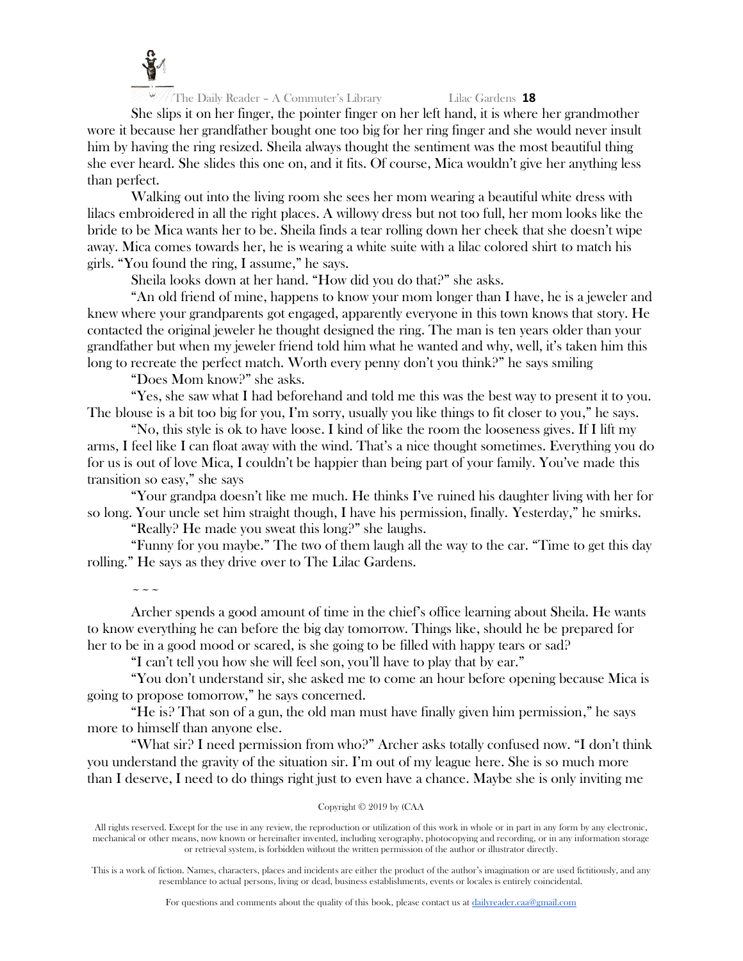

She slips it on her finger, the pointer finger on her left hand, it is where her grandmother wore it because her grandfather bought one too big for her ring finger and she would never insult him by having the ring resized. Sheila always thought the sentiment was the most beautiful thing she ever heard. She slides this one on, and it fits. Of course, Mica wouldn't give her anything less than perfect.

Walking out into the living room she sees her mom wearing a beautiful white dress with lilacs embroidered in all the right places. A willowy dress but not too full, her mom looks like the bride to be Mica wants her to be. Sheila finds a tear rolling down her cheek that she doesn't wipe away. Mica comes towards her, he is wearing a white suite with a lilac colored shirt to match his girls. "You found the ring, I assume," he says.

Sheila looks down at her hand. "How did you do that?" she asks.

"An old friend of mine, happens to know your mom longer than I have, he is a jeweler and knew where your grandparents got engaged, apparently everyone in this town knows that story. He contacted the original jeweler he thought designed the ring. The man is ten years older than your grandfather but when my jeweler friend told him what he wanted and why, well, it's taken him this long to recreate the perfect match. Worth every penny don't you think?" he says smiling

"Does Mom know?" she asks.

"Yes, she saw what I had beforehand and told me this was the best way to present it to you. The blouse is a bit too big for you, I'm sorry, usually you like things to fit closer to you," he says.

"No, this style is ok to have loose. I kind of like the room the looseness gives. If I lift my arms, I feel like I can float away with the wind. That's a nice thought sometimes. Everything you do for us is out of love Mica, I couldn't be happier than being part of your family. You've made this transition so easy," she says

"Your grandpa doesn't like me much. He thinks I've ruined his daughter living with her for so long. Your uncle set him straight though, I have his permission, finally. Yesterday," he smirks.

"Really? He made you sweat this long?" she laughs.

"Funny for you maybe." The two of them laugh all the way to the car. "Time to get this day rolling." He says as they drive over to The Lilac Gardens.

 $\sim$   $\sim$   $\sim$ Archer spends a good amount of time in the chief's office learning about Sheila. He wants to know everything he can before the big day tomorrow. Things like, should he be prepared for her to be in a good mood or scared, is she going to be filled with happy tears or sad?

"I can't tell you how she will feel son, you'll have to play that by ear."

"You don't understand sir, she asked me to come an hour before opening because Mica is going to propose tomorrow," he says concerned.

"He is? That son of a gun, the old man must have finally given him permission," he says more to himself than anyone else.

"What sir? I need permission from who?" Archer asks totally confused now. "I don't think you understand the gravity of the situation sir. I'm out of my league here. She is so much more than I deserve, I need to do things right just to even have a chance. Maybe she is only inviting me

### Copyright © 2019 by (CAA

All rights reserved. Except for the use in any review, the reproduction or utilization of this work in whole or in part in any form by any electronic, mechanical or other means, now known or hereinafter invented, including xerography, photocopying and recording, or in any information storage or retrieval system, is forbidden without the written permission of the author or illustrator directly.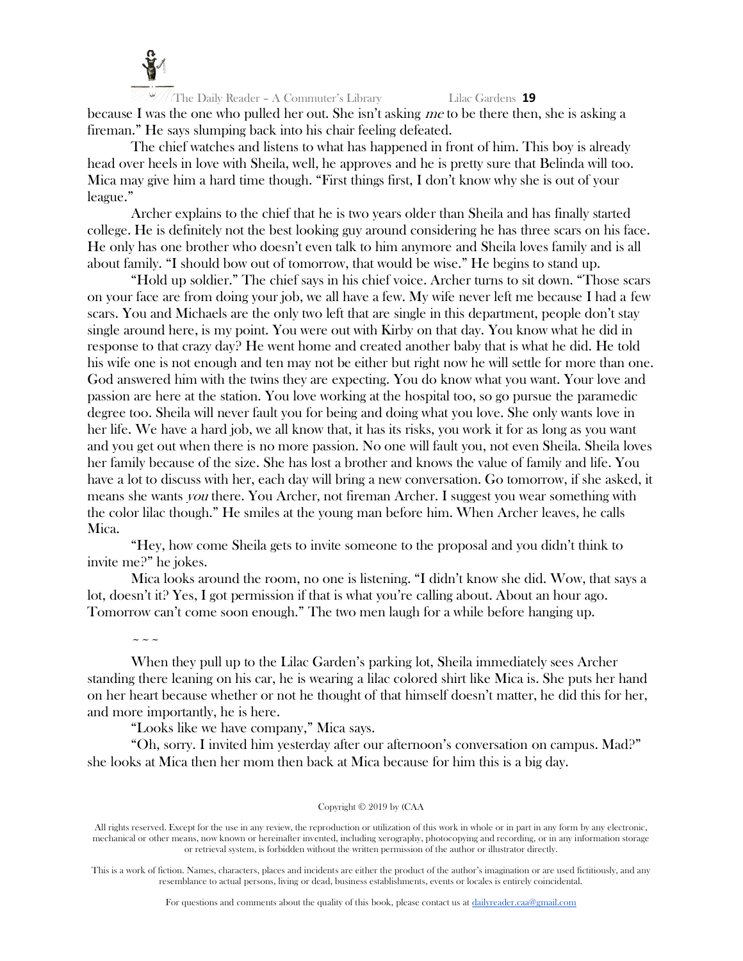

The Daily Reader – A Commuter's Library Lilac Gardens **19** because I was the one who pulled her out. She isn't asking me to be there then, she is asking a fireman." He says slumping back into his chair feeling defeated.

The chief watches and listens to what has happened in front of him. This boy is already head over heels in love with Sheila, well, he approves and he is pretty sure that Belinda will too. Mica may give him a hard time though. "First things first, I don't know why she is out of your league."

Archer explains to the chief that he is two years older than Sheila and has finally started college. He is definitely not the best looking guy around considering he has three scars on his face. He only has one brother who doesn't even talk to him anymore and Sheila loves family and is all about family. "I should bow out of tomorrow, that would be wise." He begins to stand up.

"Hold up soldier." The chief says in his chief voice. Archer turns to sit down. "Those scars on your face are from doing your job, we all have a few. My wife never left me because I had a few scars. You and Michaels are the only two left that are single in this department, people don't stay single around here, is my point. You were out with Kirby on that day. You know what he did in response to that crazy day? He went home and created another baby that is what he did. He told his wife one is not enough and ten may not be either but right now he will settle for more than one. God answered him with the twins they are expecting. You do know what you want. Your love and passion are here at the station. You love working at the hospital too, so go pursue the paramedic degree too. Sheila will never fault you for being and doing what you love. She only wants love in her life. We have a hard job, we all know that, it has its risks, you work it for as long as you want and you get out when there is no more passion. No one will fault you, not even Sheila. Sheila loves her family because of the size. She has lost a brother and knows the value of family and life. You have a lot to discuss with her, each day will bring a new conversation. Go tomorrow, if she asked, it means she wants you there. You Archer, not fireman Archer. I suggest you wear something with the color lilac though." He smiles at the young man before him. When Archer leaves, he calls Mica.

"Hey, how come Sheila gets to invite someone to the proposal and you didn't think to invite me?" he jokes.

Mica looks around the room, no one is listening. "I didn't know she did. Wow, that says a lot, doesn't it? Yes, I got permission if that is what you're calling about. About an hour ago. Tomorrow can't come soon enough." The two men laugh for a while before hanging up.

When they pull up to the Lilac Garden's parking lot, Sheila immediately sees Archer standing there leaning on his car, he is wearing a lilac colored shirt like Mica is. She puts her hand on her heart because whether or not he thought of that himself doesn't matter, he did this for her, and more importantly, he is here.

"Looks like we have company," Mica says.

 $\sim$   $\sim$   $\sim$ 

"Oh, sorry. I invited him yesterday after our afternoon's conversation on campus. Mad?" she looks at Mica then her mom then back at Mica because for him this is a big day.

#### Copyright © 2019 by (CAA

All rights reserved. Except for the use in any review, the reproduction or utilization of this work in whole or in part in any form by any electronic, mechanical or other means, now known or hereinafter invented, including xerography, photocopying and recording, or in any information storage or retrieval system, is forbidden without the written permission of the author or illustrator directly.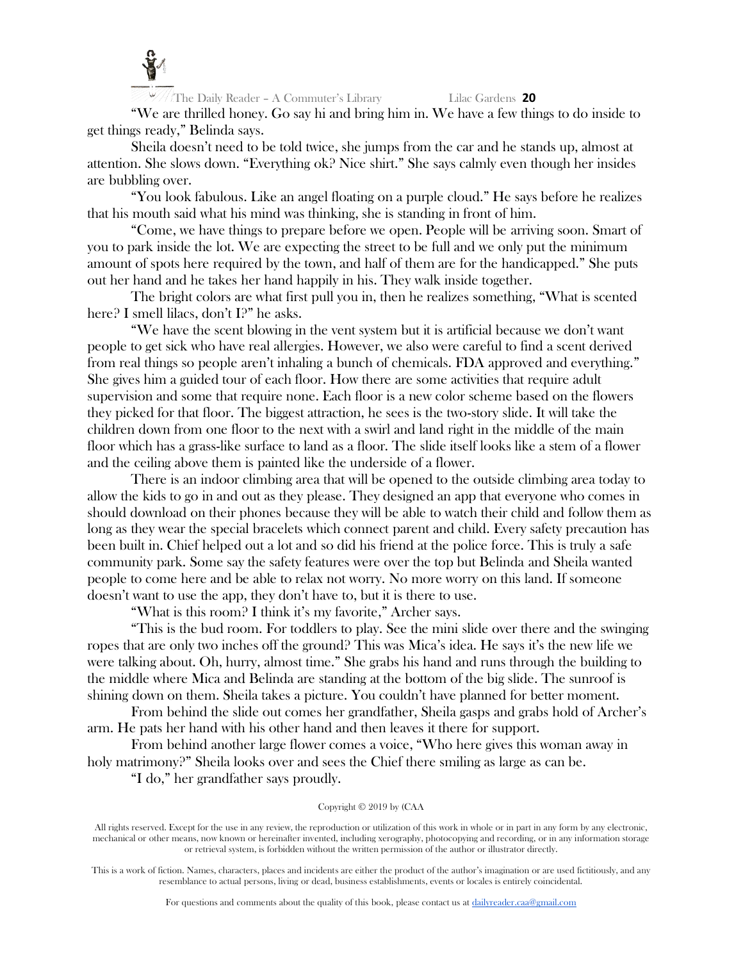

"We are thrilled honey. Go say hi and bring him in. We have a few things to do inside to get things ready," Belinda says.

Sheila doesn't need to be told twice, she jumps from the car and he stands up, almost at attention. She slows down. "Everything ok? Nice shirt." She says calmly even though her insides are bubbling over.

"You look fabulous. Like an angel floating on a purple cloud." He says before he realizes that his mouth said what his mind was thinking, she is standing in front of him.

"Come, we have things to prepare before we open. People will be arriving soon. Smart of you to park inside the lot. We are expecting the street to be full and we only put the minimum amount of spots here required by the town, and half of them are for the handicapped." She puts out her hand and he takes her hand happily in his. They walk inside together.

The bright colors are what first pull you in, then he realizes something, "What is scented here? I smell lilacs, don't I?" he asks.

"We have the scent blowing in the vent system but it is artificial because we don't want people to get sick who have real allergies. However, we also were careful to find a scent derived from real things so people aren't inhaling a bunch of chemicals. FDA approved and everything." She gives him a guided tour of each floor. How there are some activities that require adult supervision and some that require none. Each floor is a new color scheme based on the flowers they picked for that floor. The biggest attraction, he sees is the two-story slide. It will take the children down from one floor to the next with a swirl and land right in the middle of the main floor which has a grass-like surface to land as a floor. The slide itself looks like a stem of a flower and the ceiling above them is painted like the underside of a flower.

There is an indoor climbing area that will be opened to the outside climbing area today to allow the kids to go in and out as they please. They designed an app that everyone who comes in should download on their phones because they will be able to watch their child and follow them as long as they wear the special bracelets which connect parent and child. Every safety precaution has been built in. Chief helped out a lot and so did his friend at the police force. This is truly a safe community park. Some say the safety features were over the top but Belinda and Sheila wanted people to come here and be able to relax not worry. No more worry on this land. If someone doesn't want to use the app, they don't have to, but it is there to use.

"What is this room? I think it's my favorite," Archer says.

"This is the bud room. For toddlers to play. See the mini slide over there and the swinging ropes that are only two inches off the ground? This was Mica's idea. He says it's the new life we were talking about. Oh, hurry, almost time." She grabs his hand and runs through the building to the middle where Mica and Belinda are standing at the bottom of the big slide. The sunroof is shining down on them. Sheila takes a picture. You couldn't have planned for better moment.

From behind the slide out comes her grandfather, Sheila gasps and grabs hold of Archer's arm. He pats her hand with his other hand and then leaves it there for support.

From behind another large flower comes a voice, "Who here gives this woman away in holy matrimony?" Sheila looks over and sees the Chief there smiling as large as can be.

"I do," her grandfather says proudly.

### Copyright © 2019 by (CAA

All rights reserved. Except for the use in any review, the reproduction or utilization of this work in whole or in part in any form by any electronic, mechanical or other means, now known or hereinafter invented, including xerography, photocopying and recording, or in any information storage or retrieval system, is forbidden without the written permission of the author or illustrator directly.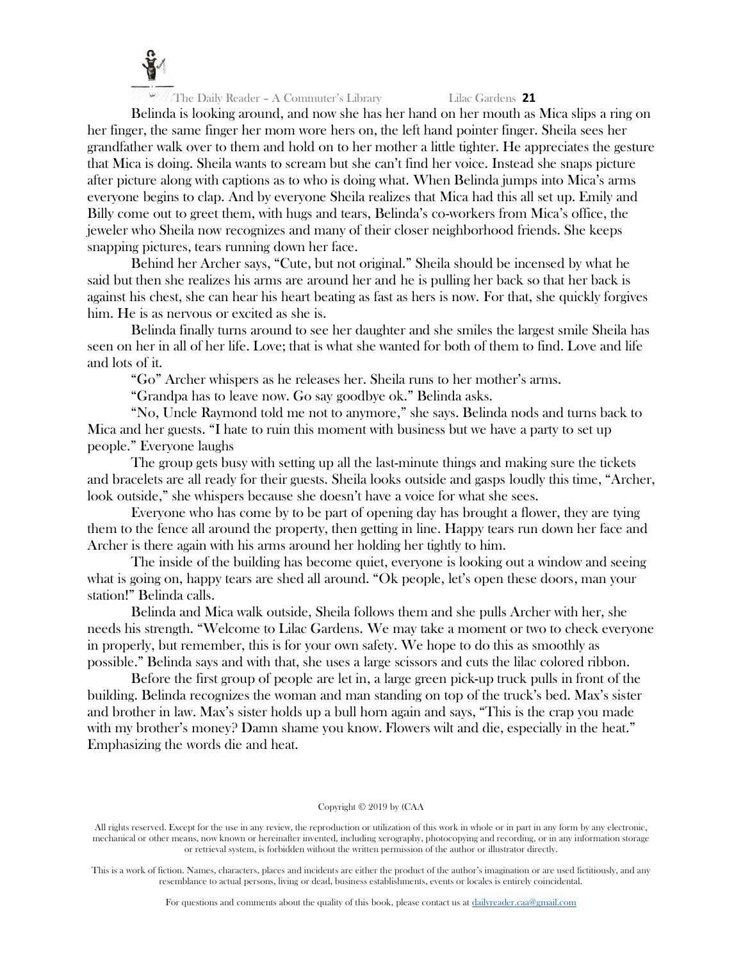

Belinda is looking around, and now she has her hand on her mouth as Mica slips a ring on her finger, the same finger her mom wore hers on, the left hand pointer finger. Sheila sees her grandfather walk over to them and hold on to her mother a little tighter. He appreciates the gesture that Mica is doing. Sheila wants to scream but she can't find her voice. Instead she snaps picture after picture along with captions as to who is doing what. When Belinda jumps into Mica's arms everyone begins to clap. And by everyone Sheila realizes that Mica had this all set up. Emily and Billy come out to greet them, with hugs and tears, Belinda's co-workers from Mica's office, the jeweler who Sheila now recognizes and many of their closer neighborhood friends. She keeps snapping pictures, tears running down her face.

Behind her Archer says, "Cute, but not original." Sheila should be incensed by what he said but then she realizes his arms are around her and he is pulling her back so that her back is against his chest, she can hear his heart beating as fast as hers is now. For that, she quickly forgives him. He is as nervous or excited as she is.

Belinda finally turns around to see her daughter and she smiles the largest smile Sheila has seen on her in all of her life. Love; that is what she wanted for both of them to find. Love and life and lots of it.

"Go" Archer whispers as he releases her. Sheila runs to her mother's arms.

"Grandpa has to leave now. Go say goodbye ok." Belinda asks.

"No, Uncle Raymond told me not to anymore," she says. Belinda nods and turns back to Mica and her guests. "I hate to ruin this moment with business but we have a party to set up people." Everyone laughs

The group gets busy with setting up all the last-minute things and making sure the tickets and bracelets are all ready for their guests. Sheila looks outside and gasps loudly this time, "Archer, look outside," she whispers because she doesn't have a voice for what she sees.

Everyone who has come by to be part of opening day has brought a flower, they are tying them to the fence all around the property, then getting in line. Happy tears run down her face and Archer is there again with his arms around her holding her tightly to him.

The inside of the building has become quiet, everyone is looking out a window and seeing what is going on, happy tears are shed all around. "Ok people, let's open these doors, man your station!" Belinda calls.

Belinda and Mica walk outside, Sheila follows them and she pulls Archer with her, she needs his strength. "Welcome to Lilac Gardens. We may take a moment or two to check everyone in properly, but remember, this is for your own safety. We hope to do this as smoothly as possible." Belinda says and with that, she uses a large scissors and cuts the lilac colored ribbon.

Before the first group of people are let in, a large green pick-up truck pulls in front of the building. Belinda recognizes the woman and man standing on top of the truck's bed. Max's sister and brother in law. Max's sister holds up a bull horn again and says, "This is the crap you made with my brother's money? Damn shame you know. Flowers wilt and die, especially in the heat." Emphasizing the words die and heat.

#### Copyright © 2019 by (CAA

All rights reserved. Except for the use in any review, the reproduction or utilization of this work in whole or in part in any form by any electronic, mechanical or other means, now known or hereinafter invented, including xerography, photocopying and recording, or in any information storage or retrieval system, is forbidden without the written permission of the author or illustrator directly.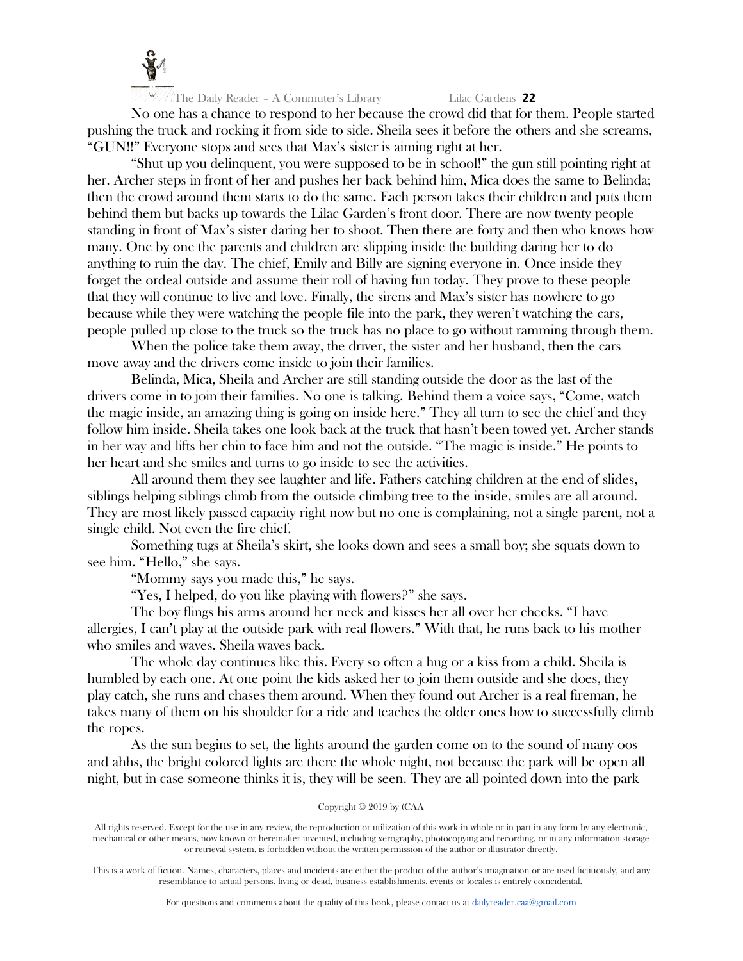

No one has a chance to respond to her because the crowd did that for them. People started pushing the truck and rocking it from side to side. Sheila sees it before the others and she screams, "GUN!!" Everyone stops and sees that Max's sister is aiming right at her.

"Shut up you delinquent, you were supposed to be in school!" the gun still pointing right at her. Archer steps in front of her and pushes her back behind him, Mica does the same to Belinda; then the crowd around them starts to do the same. Each person takes their children and puts them behind them but backs up towards the Lilac Garden's front door. There are now twenty people standing in front of Max's sister daring her to shoot. Then there are forty and then who knows how many. One by one the parents and children are slipping inside the building daring her to do anything to ruin the day. The chief, Emily and Billy are signing everyone in. Once inside they forget the ordeal outside and assume their roll of having fun today. They prove to these people that they will continue to live and love. Finally, the sirens and Max's sister has nowhere to go because while they were watching the people file into the park, they weren't watching the cars, people pulled up close to the truck so the truck has no place to go without ramming through them.

When the police take them away, the driver, the sister and her husband, then the cars move away and the drivers come inside to join their families.

Belinda, Mica, Sheila and Archer are still standing outside the door as the last of the drivers come in to join their families. No one is talking. Behind them a voice says, "Come, watch the magic inside, an amazing thing is going on inside here." They all turn to see the chief and they follow him inside. Sheila takes one look back at the truck that hasn't been towed yet. Archer stands in her way and lifts her chin to face him and not the outside. "The magic is inside." He points to her heart and she smiles and turns to go inside to see the activities.

All around them they see laughter and life. Fathers catching children at the end of slides, siblings helping siblings climb from the outside climbing tree to the inside, smiles are all around. They are most likely passed capacity right now but no one is complaining, not a single parent, not a single child. Not even the fire chief.

Something tugs at Sheila's skirt, she looks down and sees a small boy; she squats down to see him. "Hello," she says.

"Mommy says you made this," he says.

"Yes, I helped, do you like playing with flowers?" she says.

The boy flings his arms around her neck and kisses her all over her cheeks. "I have allergies, I can't play at the outside park with real flowers." With that, he runs back to his mother who smiles and waves. Sheila waves back.

The whole day continues like this. Every so often a hug or a kiss from a child. Sheila is humbled by each one. At one point the kids asked her to join them outside and she does, they play catch, she runs and chases them around. When they found out Archer is a real fireman, he takes many of them on his shoulder for a ride and teaches the older ones how to successfully climb the ropes.

As the sun begins to set, the lights around the garden come on to the sound of many oos and ahhs, the bright colored lights are there the whole night, not because the park will be open all night, but in case someone thinks it is, they will be seen. They are all pointed down into the park

#### Copyright © 2019 by (CAA

All rights reserved. Except for the use in any review, the reproduction or utilization of this work in whole or in part in any form by any electronic, mechanical or other means, now known or hereinafter invented, including xerography, photocopying and recording, or in any information storage or retrieval system, is forbidden without the written permission of the author or illustrator directly.

This is a work of fiction. Names, characters, places and incidents are either the product of the author's imagination or are used fictitiously, and any resemblance to actual persons, living or dead, business establishments, events or locales is entirely coincidental.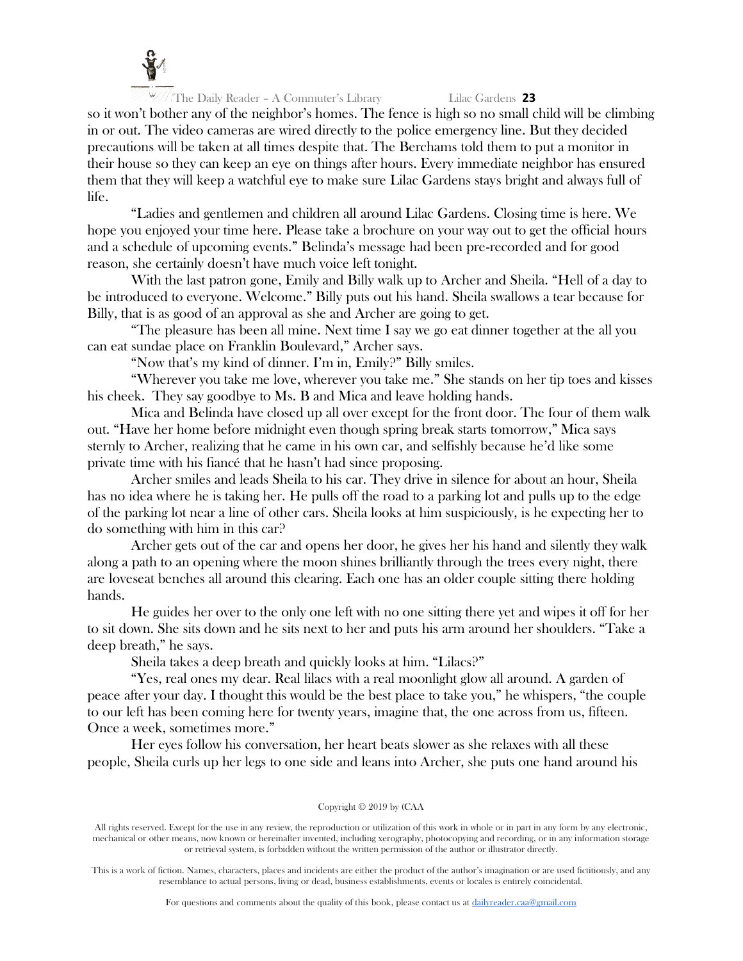

so it won't bother any of the neighbor's homes. The fence is high so no small child will be climbing in or out. The video cameras are wired directly to the police emergency line. But they decided precautions will be taken at all times despite that. The Berchams told them to put a monitor in their house so they can keep an eye on things after hours. Every immediate neighbor has ensured them that they will keep a watchful eye to make sure Lilac Gardens stays bright and always full of life.

"Ladies and gentlemen and children all around Lilac Gardens. Closing time is here. We hope you enjoyed your time here. Please take a brochure on your way out to get the official hours and a schedule of upcoming events." Belinda's message had been pre-recorded and for good reason, she certainly doesn't have much voice left tonight.

With the last patron gone, Emily and Billy walk up to Archer and Sheila. "Hell of a day to be introduced to everyone. Welcome." Billy puts out his hand. Sheila swallows a tear because for Billy, that is as good of an approval as she and Archer are going to get.

"The pleasure has been all mine. Next time I say we go eat dinner together at the all you can eat sundae place on Franklin Boulevard," Archer says.

"Now that's my kind of dinner. I'm in, Emily?" Billy smiles.

"Wherever you take me love, wherever you take me." She stands on her tip toes and kisses his cheek. They say goodbye to Ms. B and Mica and leave holding hands.

Mica and Belinda have closed up all over except for the front door. The four of them walk out. "Have her home before midnight even though spring break starts tomorrow," Mica says sternly to Archer, realizing that he came in his own car, and selfishly because he'd like some private time with his fiancé that he hasn't had since proposing.

Archer smiles and leads Sheila to his car. They drive in silence for about an hour, Sheila has no idea where he is taking her. He pulls off the road to a parking lot and pulls up to the edge of the parking lot near a line of other cars. Sheila looks at him suspiciously, is he expecting her to do something with him in this car?

Archer gets out of the car and opens her door, he gives her his hand and silently they walk along a path to an opening where the moon shines brilliantly through the trees every night, there are loveseat benches all around this clearing. Each one has an older couple sitting there holding hands.

He guides her over to the only one left with no one sitting there yet and wipes it off for her to sit down. She sits down and he sits next to her and puts his arm around her shoulders. "Take a deep breath," he says.

Sheila takes a deep breath and quickly looks at him. "Lilacs?"

"Yes, real ones my dear. Real lilacs with a real moonlight glow all around. A garden of peace after your day. I thought this would be the best place to take you," he whispers, "the couple to our left has been coming here for twenty years, imagine that, the one across from us, fifteen. Once a week, sometimes more."

Her eyes follow his conversation, her heart beats slower as she relaxes with all these people, Sheila curls up her legs to one side and leans into Archer, she puts one hand around his

#### Copyright © 2019 by (CAA

All rights reserved. Except for the use in any review, the reproduction or utilization of this work in whole or in part in any form by any electronic, mechanical or other means, now known or hereinafter invented, including xerography, photocopying and recording, or in any information storage or retrieval system, is forbidden without the written permission of the author or illustrator directly.